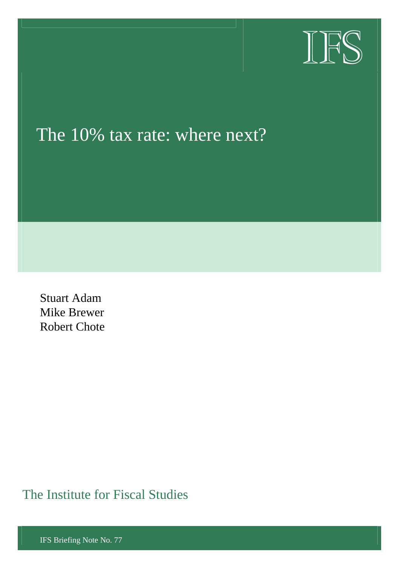

# The 10% tax rate: where next?

Stuart Adam Mike Brewer Robert Chote

The Institute for Fiscal Studies

IFS Briefing Note No. 77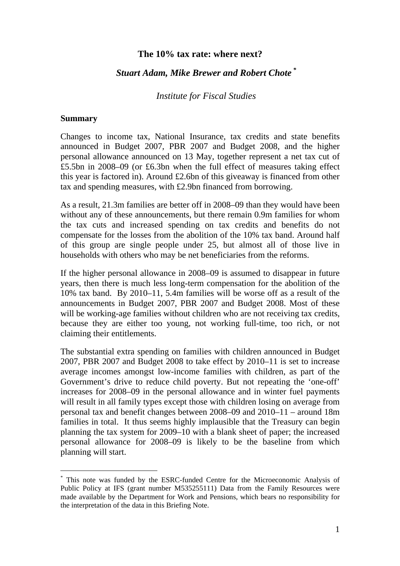#### **The 10% tax rate: where next?**

#### *Stuart Adam, Mike Brewer and Robert Chote \**

#### *Institute for Fiscal Studies*

#### **Summary**

l

Changes to income tax, National Insurance, tax credits and state benefits announced in Budget 2007, PBR 2007 and Budget 2008, and the higher personal allowance announced on 13 May, together represent a net tax cut of £5.5bn in 2008–09 (or £6.3bn when the full effect of measures taking effect this year is factored in). Around £2.6bn of this giveaway is financed from other tax and spending measures, with £2.9bn financed from borrowing.

As a result, 21.3m families are better off in 2008–09 than they would have been without any of these announcements, but there remain 0.9m families for whom the tax cuts and increased spending on tax credits and benefits do not compensate for the losses from the abolition of the 10% tax band. Around half of this group are single people under 25, but almost all of those live in households with others who may be net beneficiaries from the reforms.

If the higher personal allowance in 2008–09 is assumed to disappear in future years, then there is much less long-term compensation for the abolition of the 10% tax band. By 2010–11, 5.4m families will be worse off as a result of the announcements in Budget 2007, PBR 2007 and Budget 2008. Most of these will be working-age families without children who are not receiving tax credits, because they are either too young, not working full-time, too rich, or not claiming their entitlements.

The substantial extra spending on families with children announced in Budget 2007, PBR 2007 and Budget 2008 to take effect by 2010–11 is set to increase average incomes amongst low-income families with children, as part of the Government's drive to reduce child poverty. But not repeating the 'one-off' increases for 2008–09 in the personal allowance and in winter fuel payments will result in all family types except those with children losing on average from personal tax and benefit changes between 2008–09 and 2010–11 – around 18m families in total. It thus seems highly implausible that the Treasury can begin planning the tax system for 2009–10 with a blank sheet of paper; the increased personal allowance for 2008–09 is likely to be the baseline from which planning will start.

<sup>\*</sup> This note was funded by the ESRC-funded Centre for the Microeconomic Analysis of Public Policy at IFS (grant number M535255111) Data from the Family Resources were made available by the Department for Work and Pensions, which bears no responsibility for the interpretation of the data in this Briefing Note.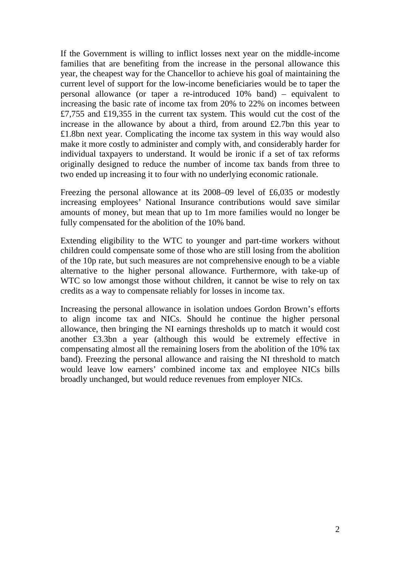If the Government is willing to inflict losses next year on the middle-income families that are benefiting from the increase in the personal allowance this year, the cheapest way for the Chancellor to achieve his goal of maintaining the current level of support for the low-income beneficiaries would be to taper the personal allowance (or taper a re-introduced 10% band) – equivalent to increasing the basic rate of income tax from 20% to 22% on incomes between £7,755 and £19,355 in the current tax system. This would cut the cost of the increase in the allowance by about a third, from around £2.7bn this year to £1.8bn next year. Complicating the income tax system in this way would also make it more costly to administer and comply with, and considerably harder for individual taxpayers to understand. It would be ironic if a set of tax reforms originally designed to reduce the number of income tax bands from three to two ended up increasing it to four with no underlying economic rationale.

Freezing the personal allowance at its 2008–09 level of £6,035 or modestly increasing employees' National Insurance contributions would save similar amounts of money, but mean that up to 1m more families would no longer be fully compensated for the abolition of the 10% band.

Extending eligibility to the WTC to younger and part-time workers without children could compensate some of those who are still losing from the abolition of the 10p rate, but such measures are not comprehensive enough to be a viable alternative to the higher personal allowance. Furthermore, with take-up of WTC so low amongst those without children, it cannot be wise to rely on tax credits as a way to compensate reliably for losses in income tax.

Increasing the personal allowance in isolation undoes Gordon Brown's efforts to align income tax and NICs. Should he continue the higher personal allowance, then bringing the NI earnings thresholds up to match it would cost another £3.3bn a year (although this would be extremely effective in compensating almost all the remaining losers from the abolition of the 10% tax band). Freezing the personal allowance and raising the NI threshold to match would leave low earners' combined income tax and employee NICs bills broadly unchanged, but would reduce revenues from employer NICs.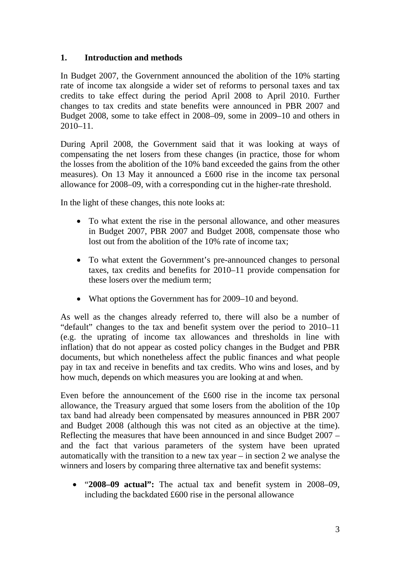## **1. Introduction and methods**

In Budget 2007, the Government announced the abolition of the 10% starting rate of income tax alongside a wider set of reforms to personal taxes and tax credits to take effect during the period April 2008 to April 2010. Further changes to tax credits and state benefits were announced in PBR 2007 and Budget 2008, some to take effect in 2008–09, some in 2009–10 and others in 2010–11.

During April 2008, the Government said that it was looking at ways of compensating the net losers from these changes (in practice, those for whom the losses from the abolition of the 10% band exceeded the gains from the other measures). On 13 May it announced a £600 rise in the income tax personal allowance for 2008–09, with a corresponding cut in the higher-rate threshold.

In the light of these changes, this note looks at:

- To what extent the rise in the personal allowance, and other measures in Budget 2007, PBR 2007 and Budget 2008, compensate those who lost out from the abolition of the 10% rate of income tax;
- To what extent the Government's pre-announced changes to personal taxes, tax credits and benefits for 2010–11 provide compensation for these losers over the medium term;
- What options the Government has for 2009–10 and beyond.

As well as the changes already referred to, there will also be a number of "default" changes to the tax and benefit system over the period to 2010–11 (e.g. the uprating of income tax allowances and thresholds in line with inflation) that do not appear as costed policy changes in the Budget and PBR documents, but which nonetheless affect the public finances and what people pay in tax and receive in benefits and tax credits. Who wins and loses, and by how much, depends on which measures you are looking at and when.

Even before the announcement of the £600 rise in the income tax personal allowance, the Treasury argued that some losers from the abolition of the 10p tax band had already been compensated by measures announced in PBR 2007 and Budget 2008 (although this was not cited as an objective at the time). Reflecting the measures that have been announced in and since Budget 2007 – and the fact that various parameters of the system have been uprated automatically with the transition to a new tax year – in section 2 we analyse the winners and losers by comparing three alternative tax and benefit systems:

• "**2008–09 actual":** The actual tax and benefit system in 2008–09, including the backdated £600 rise in the personal allowance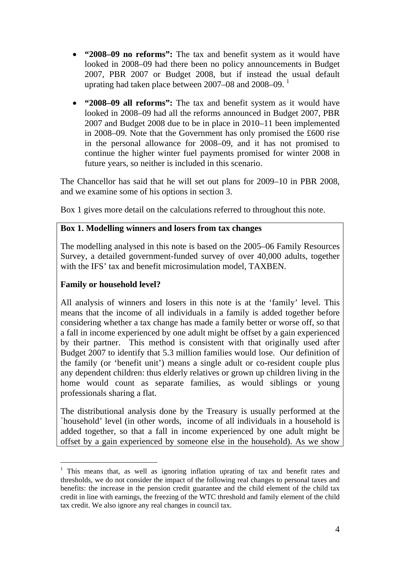- **"2008–09 no reforms":** The tax and benefit system as it would have looked in 2008–09 had there been no policy announcements in Budget 2007, PBR 2007 or Budget 2008, but if instead the usual default uprating had taken place between 2007–08 and 2008–09.  $^1$
- **"2008–09 all reforms":** The tax and benefit system as it would have looked in 2008–09 had all the reforms announced in Budget 2007, PBR 2007 and Budget 2008 due to be in place in 2010–11 been implemented in 2008–09. Note that the Government has only promised the £600 rise in the personal allowance for 2008–09, and it has not promised to continue the higher winter fuel payments promised for winter 2008 in future years, so neither is included in this scenario.

The Chancellor has said that he will set out plans for 2009–10 in PBR 2008, and we examine some of his options in section 3.

Box 1 gives more detail on the calculations referred to throughout this note.

## **Box 1. Modelling winners and losers from tax changes**

The modelling analysed in this note is based on the 2005–06 Family Resources Survey, a detailed government-funded survey of over 40,000 adults, together with the IFS' tax and benefit microsimulation model, TAXBEN.

## **Family or household level?**

l

All analysis of winners and losers in this note is at the 'family' level. This means that the income of all individuals in a family is added together before considering whether a tax change has made a family better or worse off, so that a fall in income experienced by one adult might be offset by a gain experienced by their partner. This method is consistent with that originally used after Budget 2007 to identify that 5.3 million families would lose. Our definition of the family (or 'benefit unit') means a single adult or co-resident couple plus any dependent children: thus elderly relatives or grown up children living in the home would count as separate families, as would siblings or young professionals sharing a flat.

The distributional analysis done by the Treasury is usually performed at the `household' level (in other words, income of all individuals in a household is added together, so that a fall in income experienced by one adult might be offset by a gain experienced by someone else in the household). As we show

<sup>&</sup>lt;sup>1</sup> This means that, as well as ignoring inflation uprating of tax and benefit rates and thresholds, we do not consider the impact of the following real changes to personal taxes and benefits: the increase in the pension credit guarantee and the child element of the child tax credit in line with earnings, the freezing of the WTC threshold and family element of the child tax credit. We also ignore any real changes in council tax.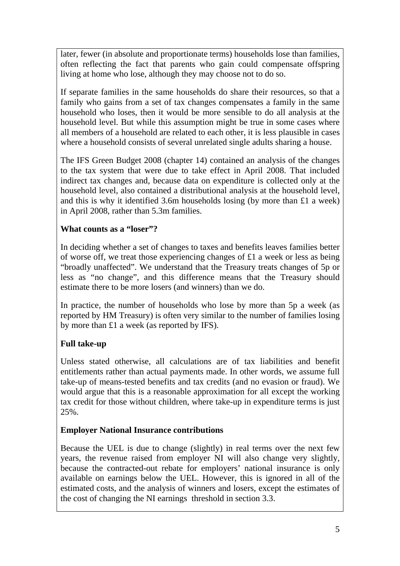later, fewer (in absolute and proportionate terms) households lose than families, often reflecting the fact that parents who gain could compensate offspring living at home who lose, although they may choose not to do so.

If separate families in the same households do share their resources, so that a family who gains from a set of tax changes compensates a family in the same household who loses, then it would be more sensible to do all analysis at the household level. But while this assumption might be true in some cases where all members of a household are related to each other, it is less plausible in cases where a household consists of several unrelated single adults sharing a house.

The IFS Green Budget 2008 (chapter 14) contained an analysis of the changes to the tax system that were due to take effect in April 2008. That included indirect tax changes and, because data on expenditure is collected only at the household level, also contained a distributional analysis at the household level, and this is why it identified 3.6m households losing (by more than £1 a week) in April 2008, rather than 5.3m families.

## **What counts as a "loser"?**

In deciding whether a set of changes to taxes and benefits leaves families better of worse off, we treat those experiencing changes of £1 a week or less as being "broadly unaffected". We understand that the Treasury treats changes of 5p or less as "no change", and this difference means that the Treasury should estimate there to be more losers (and winners) than we do.

In practice, the number of households who lose by more than 5p a week (as reported by HM Treasury) is often very similar to the number of families losing by more than £1 a week (as reported by IFS).

# **Full take-up**

Unless stated otherwise, all calculations are of tax liabilities and benefit entitlements rather than actual payments made. In other words, we assume full take-up of means-tested benefits and tax credits (and no evasion or fraud). We would argue that this is a reasonable approximation for all except the working tax credit for those without children, where take-up in expenditure terms is just 25%.

# **Employer National Insurance contributions**

Because the UEL is due to change (slightly) in real terms over the next few years, the revenue raised from employer NI will also change very slightly, because the contracted-out rebate for employers' national insurance is only available on earnings below the UEL. However, this is ignored in all of the estimated costs, and the analysis of winners and losers, except the estimates of the cost of changing the NI earnings threshold in section 3.3.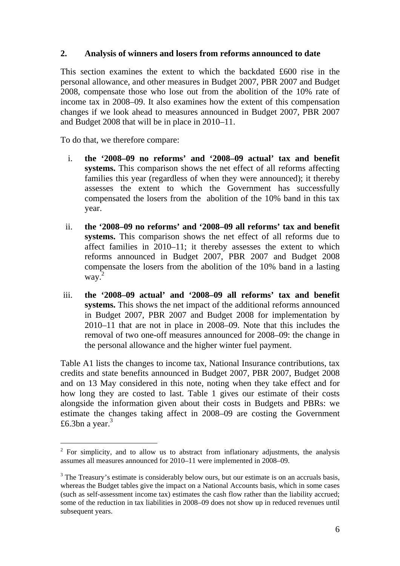#### **2. Analysis of winners and losers from reforms announced to date**

This section examines the extent to which the backdated £600 rise in the personal allowance, and other measures in Budget 2007, PBR 2007 and Budget 2008, compensate those who lose out from the abolition of the 10% rate of income tax in 2008–09. It also examines how the extent of this compensation changes if we look ahead to measures announced in Budget 2007, PBR 2007 and Budget 2008 that will be in place in 2010–11.

To do that, we therefore compare:

l

- i. **the '2008–09 no reforms' and '2008–09 actual' tax and benefit systems.** This comparison shows the net effect of all reforms affecting families this year (regardless of when they were announced); it thereby assesses the extent to which the Government has successfully compensated the losers from the abolition of the 10% band in this tax year.
- ii. **the '2008–09 no reforms' and '2008–09 all reforms' tax and benefit systems.** This comparison shows the net effect of all reforms due to affect families in 2010–11; it thereby assesses the extent to which reforms announced in Budget 2007, PBR 2007 and Budget 2008 compensate the losers from the abolition of the 10% band in a lasting way. 2
- iii. **the '2008–09 actual' and '2008–09 all reforms' tax and benefit systems.** This shows the net impact of the additional reforms announced in Budget 2007, PBR 2007 and Budget 2008 for implementation by 2010–11 that are not in place in 2008–09. Note that this includes the removal of two one-off measures announced for 2008–09: the change in the personal allowance and the higher winter fuel payment.

Table A1 lists the changes to income tax, National Insurance contributions, tax credits and state benefits announced in Budget 2007, PBR 2007, Budget 2008 and on 13 May considered in this note, noting when they take effect and for how long they are costed to last. Table 1 gives our estimate of their costs alongside the information given about their costs in Budgets and PBRs: we estimate the changes taking affect in 2008–09 are costing the Government £6.3bn a year. $3$ 

 $2^2$  For simplicity, and to allow us to abstract from inflationary adjustments, the analysis assumes all measures announced for 2010–11 were implemented in 2008–09.

 $3$  The Treasury's estimate is considerably below ours, but our estimate is on an accruals basis, whereas the Budget tables give the impact on a National Accounts basis, which in some cases (such as self-assessment income tax) estimates the cash flow rather than the liability accrued; some of the reduction in tax liabilities in 2008–09 does not show up in reduced revenues until subsequent years.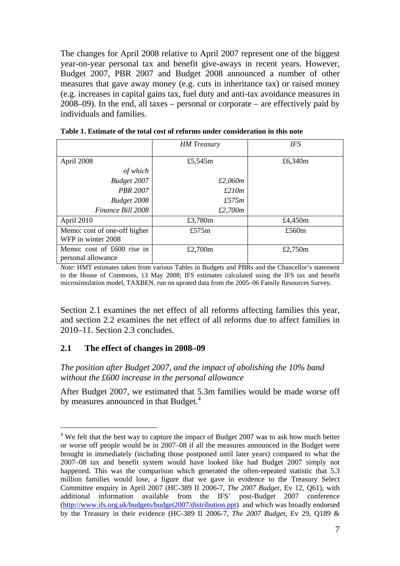The changes for April 2008 relative to April 2007 represent one of the biggest year-on-year personal tax and benefit give-aways in recent years. However, Budget 2007, PBR 2007 and Budget 2008 announced a number of other measures that gave away money (e.g. cuts in inheritance tax) or raised money (e.g. increases in capital gains tax, fuel duty and anti-tax avoidance measures in 2008–09). In the end, all taxes – personal or corporate – are effectively paid by individuals and families.

|                                                    | <b>HM</b> Treasury | <b>IFS</b> |
|----------------------------------------------------|--------------------|------------|
| April 2008                                         | £5,545m            | £6,340m    |
| of which                                           |                    |            |
| Budget 2007                                        | £2,060m            |            |
| <b>PBR 2007</b>                                    | £210m              |            |
| Budget 2008                                        | £575m              |            |
| Finance Bill 2008                                  | £2,700m            |            |
| April 2010                                         | £3,780m            | £4,450m    |
| Memo: cost of one-off higher<br>WFP in winter 2008 | £575 $m$           | £560 $m$   |
| Memo: cost of £600 rise in<br>personal allowance   | £2,700 $m$         | £2,750 $m$ |

**Table 1. Estimate of the total cost of reforms under consideration in this note** 

*Note*: HMT estimates taken from various Tables in Budgets and PBRs and the Chancellor's statement to the House of Commons, 13 May 2008; IFS estimates calculated using the IFS tax and benefit microsimulation model, TAXBEN, run on uprated data from the 2005–06 Family Resources Survey.

Section 2.1 examines the net effect of all reforms affecting families this year, and section 2.2 examines the net effect of all reforms due to affect families in 2010–11. Section 2.3 concludes.

#### **2.1 The effect of changes in 2008–09**

l

*The position after Budget 2007, and the impact of abolishing the 10% band without the £600 increase in the personal allowance* 

After Budget 2007, we estimated that 5.3m families would be made worse off by measures announced in that Budget.<sup>4</sup>

<sup>&</sup>lt;sup>4</sup> We felt that the best way to capture the impact of Budget 2007 was to ask how much better or worse off people would be in 2007–08 if all the measures announced in the Budget were brought in immediately (including those postponed until later years) compared to what the 2007–08 tax and benefit system would have looked like had Budget 2007 simply not happened. This was the comparison which generated the often-repeated statistic that 5.3 million families would lose, a figure that we gave in evidence to the Treasury Select Committee enquiry in April 2007 (HC-389 II 2006-7, *The 2007 Budget*, Ev 12, Q61), with additional information available from the IFS' post-Budget 2007 conference ([http://www.ifs.org.uk/budgets/budget2007/distribution.ppt\)](http://www.ifs.org.uk/budgets/budget2007/distribution.ppt) and which was broadly endorsed by the Treasury in their evidence (HC-389 II 2006-7, *The 2007 Budget*, Ev 29, Q189 &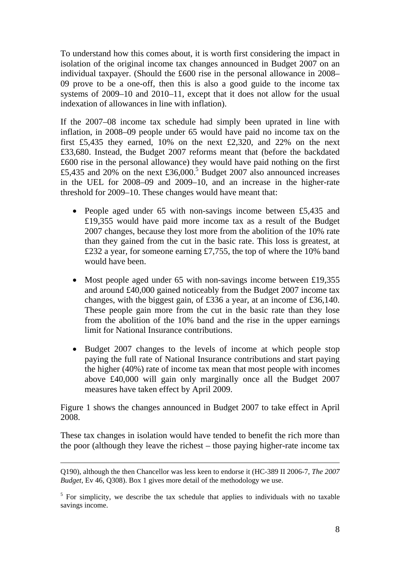To understand how this comes about, it is worth first considering the impact in isolation of the original income tax changes announced in Budget 2007 on an individual taxpayer. (Should the £600 rise in the personal allowance in 2008– 09 prove to be a one-off, then this is also a good guide to the income tax systems of 2009–10 and 2010–11, except that it does not allow for the usual indexation of allowances in line with inflation).

If the 2007–08 income tax schedule had simply been uprated in line with inflation, in 2008–09 people under 65 would have paid no income tax on the first £5,435 they earned, 10% on the next £2,320, and 22% on the next £33,680. Instead, the Budget 2007 reforms meant that (before the backdated £600 rise in the personal allowance) they would have paid nothing on the first £5,435 and 20% on the next £36,000.<sup>5</sup> Budget 2007 also announced increases in the UEL for 2008–09 and 2009–10, and an increase in the higher-rate threshold for 2009–10. These changes would have meant that:

- People aged under 65 with non-savings income between £5,435 and £19,355 would have paid more income tax as a result of the Budget 2007 changes, because they lost more from the abolition of the 10% rate than they gained from the cut in the basic rate. This loss is greatest, at £232 a year, for someone earning £7,755, the top of where the 10% band would have been.
- Most people aged under 65 with non-savings income between £19,355 and around £40,000 gained noticeably from the Budget 2007 income tax changes, with the biggest gain, of £336 a year, at an income of £36,140. These people gain more from the cut in the basic rate than they lose from the abolition of the 10% band and the rise in the upper earnings limit for National Insurance contributions.
- Budget 2007 changes to the levels of income at which people stop paying the full rate of National Insurance contributions and start paying the higher (40%) rate of income tax mean that most people with incomes above £40,000 will gain only marginally once all the Budget 2007 measures have taken effect by April 2009.

Figure 1 shows the changes announced in Budget 2007 to take effect in April 2008.

These tax changes in isolation would have tended to benefit the rich more than the poor (although they leave the richest – those paying higher-rate income tax

Q190), although the then Chancellor was less keen to endorse it (HC-389 II 2006-7, *The 2007 Budget*, Ev 46, Q308). Box 1 gives more detail of the methodology we use.

 $<sup>5</sup>$  For simplicity, we describe the tax schedule that applies to individuals with no taxable</sup> savings income.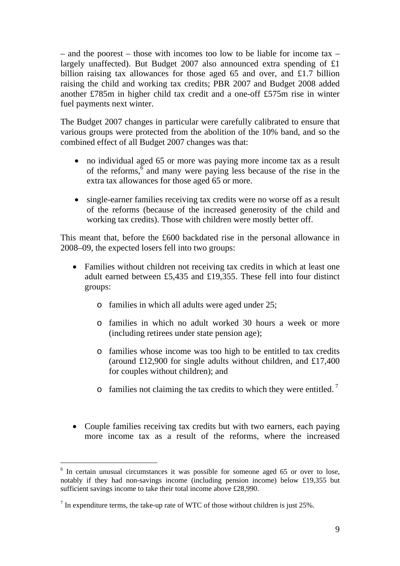– and the poorest – those with incomes too low to be liable for income tax – largely unaffected). But Budget 2007 also announced extra spending of £1 billion raising tax allowances for those aged 65 and over, and £1.7 billion raising the child and working tax credits; PBR 2007 and Budget 2008 added another £785m in higher child tax credit and a one-off £575m rise in winter fuel payments next winter.

The Budget 2007 changes in particular were carefully calibrated to ensure that various groups were protected from the abolition of the 10% band, and so the combined effect of all Budget 2007 changes was that:

- no individual aged 65 or more was paying more income tax as a result of the reforms, $\bar{6}$  and many were paying less because of the rise in the extra tax allowances for those aged 65 or more.
- single-earner families receiving tax credits were no worse off as a result of the reforms (because of the increased generosity of the child and working tax credits). Those with children were mostly better off.

This meant that, before the £600 backdated rise in the personal allowance in 2008–09, the expected losers fell into two groups:

- Families without children not receiving tax credits in which at least one adult earned between £5,435 and £19,355. These fell into four distinct groups:
	- o families in which all adults were aged under 25;
	- o families in which no adult worked 30 hours a week or more (including retirees under state pension age);
	- o families whose income was too high to be entitled to tax credits (around £12,900 for single adults without children, and £17,400 for couples without children); and
	- $\circ$  families not claiming the tax credits to which they were entitled.<sup>7</sup>
- Couple families receiving tax credits but with two earners, each paying more income tax as a result of the reforms, where the increased

<sup>&</sup>lt;sup>6</sup> In certain unusual circumstances it was possible for someone aged 65 or over to lose, notably if they had non-savings income (including pension income) below £19,355 but sufficient savings income to take their total income above £28,990.

 $<sup>7</sup>$  In expenditure terms, the take-up rate of WTC of those without children is just 25%.</sup>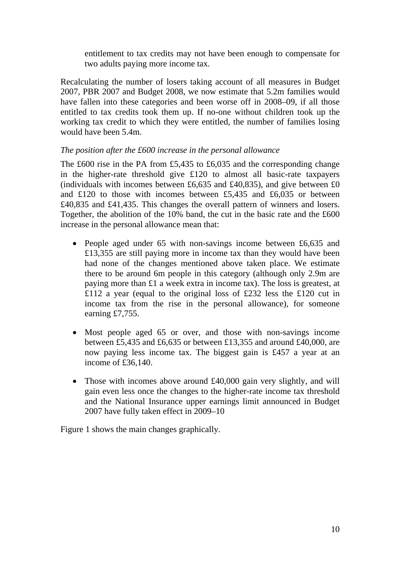entitlement to tax credits may not have been enough to compensate for two adults paying more income tax.

Recalculating the number of losers taking account of all measures in Budget 2007, PBR 2007 and Budget 2008, we now estimate that 5.2m families would have fallen into these categories and been worse off in 2008–09, if all those entitled to tax credits took them up. If no-one without children took up the working tax credit to which they were entitled, the number of families losing would have been 5.4m.

## *The position after the £600 increase in the personal allowance*

The £600 rise in the PA from £5,435 to £6,035 and the corresponding change in the higher-rate threshold give £120 to almost all basic-rate taxpayers (individuals with incomes between £6,635 and £40,835), and give between £0 and £120 to those with incomes between £5,435 and £6,035 or between £40,835 and £41,435. This changes the overall pattern of winners and losers. Together, the abolition of the 10% band, the cut in the basic rate and the £600 increase in the personal allowance mean that:

- People aged under 65 with non-savings income between £6,635 and £13,355 are still paying more in income tax than they would have been had none of the changes mentioned above taken place. We estimate there to be around 6m people in this category (although only 2.9m are paying more than £1 a week extra in income tax). The loss is greatest, at £112 a year (equal to the original loss of £232 less the £120 cut in income tax from the rise in the personal allowance), for someone earning £7,755.
- Most people aged 65 or over, and those with non-savings income between £5,435 and £6,635 or between £13,355 and around £40,000, are now paying less income tax. The biggest gain is £457 a year at an income of £36,140.
- Those with incomes above around £40,000 gain very slightly, and will gain even less once the changes to the higher-rate income tax threshold and the National Insurance upper earnings limit announced in Budget 2007 have fully taken effect in 2009–10

Figure 1 shows the main changes graphically.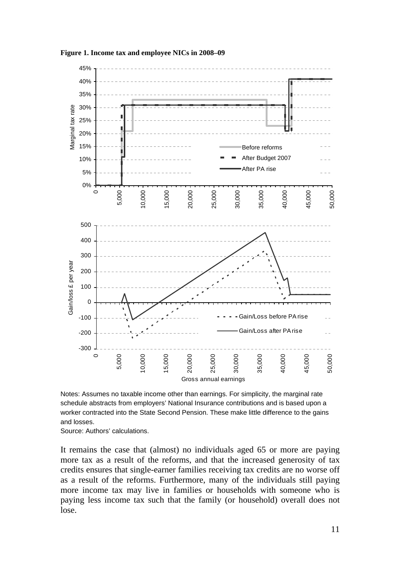

**Figure 1. Income tax and employee NICs in 2008–09** 

Notes: Assumes no taxable income other than earnings. For simplicity, the marginal rate schedule abstracts from employers' National Insurance contributions and is based upon a worker contracted into the State Second Pension. These make little difference to the gains and losses.

Source: Authors' calculations.

It remains the case that (almost) no individuals aged 65 or more are paying more tax as a result of the reforms, and that the increased generosity of tax credits ensures that single-earner families receiving tax credits are no worse off as a result of the reforms. Furthermore, many of the individuals still paying more income tax may live in families or households with someone who is paying less income tax such that the family (or household) overall does not lose.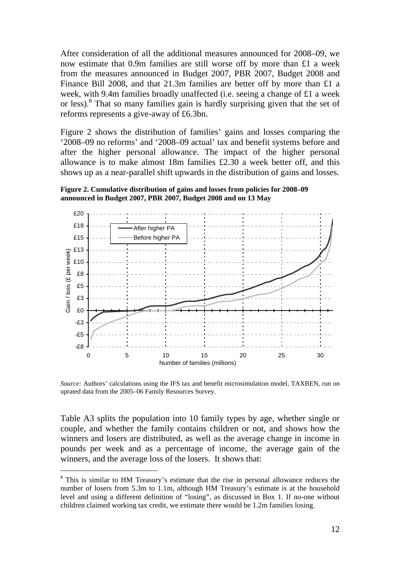After consideration of all the additional measures announced for 2008–09, we now estimate that 0.9m families are still worse off by more than £1 a week from the measures announced in Budget 2007, PBR 2007, Budget 2008 and Finance Bill 2008, and that 21.3m families are better off by more than £1 a week, with 9.4m families broadly unaffected (i.e. seeing a change of £1 a week or less).<sup>8</sup> That so many families gain is hardly surprising given that the set of reforms represents a give-away of £6.3bn.

Figure 2 shows the distribution of families' gains and losses comparing the '2008–09 no reforms' and '2008–09 actual' tax and benefit systems before and after the higher personal allowance. The impact of the higher personal allowance is to make almost 18m families £2.30 a week better off, and this shows up as a near-parallel shift upwards in the distribution of gains and losses.

**Figure 2. Cumulative distribution of gains and losses from policies for 2008–09 announced in Budget 2007, PBR 2007, Budget 2008 and on 13 May** 



*Source:* Authors' calculations using the IFS tax and benefit microsimulation model, TAXBEN, run on uprated data from the 2005–06 Family Resources Survey.

Table A3 splits the population into 10 family types by age, whether single or couple, and whether the family contains children or not, and shows how the winners and losers are distributed, as well as the average change in income in pounds per week and as a percentage of income, the average gain of the winners, and the average loss of the losers. It shows that:

<sup>&</sup>lt;sup>8</sup> This is similar to HM Treasury's estimate that the rise in personal allowance reduces the number of losers from 5.3m to 1.1m, although HM Treasury's estimate is at the household level and using a different definition of "losing", as discussed in Box 1. If no-one without children claimed working tax credit, we estimate there would be 1.2m families losing.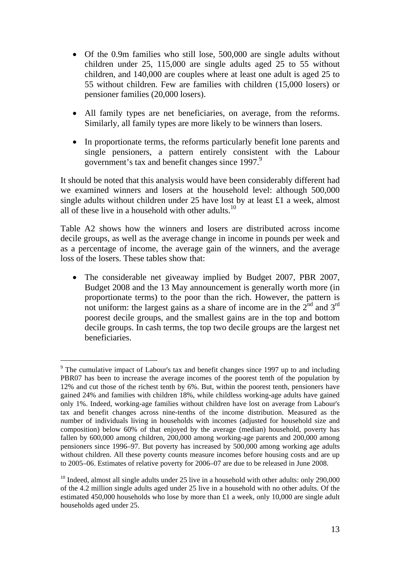- Of the 0.9m families who still lose, 500,000 are single adults without children under 25, 115,000 are single adults aged 25 to 55 without children, and 140,000 are couples where at least one adult is aged 25 to 55 without children. Few are families with children (15,000 losers) or pensioner families (20,000 losers).
- All family types are net beneficiaries, on average, from the reforms. Similarly, all family types are more likely to be winners than losers.
- In proportionate terms, the reforms particularly benefit lone parents and single pensioners, a pattern entirely consistent with the Labour government's tax and benefit changes since 1997.<sup>9</sup>

It should be noted that this analysis would have been considerably different had we examined winners and losers at the household level: although 500,000 single adults without children under 25 have lost by at least £1 a week, almost all of these live in a household with other adults.<sup>10</sup>

Table A2 shows how the winners and losers are distributed across income decile groups, as well as the average change in income in pounds per week and as a percentage of income, the average gain of the winners, and the average loss of the losers. These tables show that:

• The considerable net giveaway implied by Budget 2007, PBR 2007, Budget 2008 and the 13 May announcement is generally worth more (in proportionate terms) to the poor than the rich. However, the pattern is not uniform: the largest gains as a share of income are in the  $2<sup>nd</sup>$  and  $3<sup>rd</sup>$ poorest decile groups, and the smallest gains are in the top and bottom decile groups. In cash terms, the top two decile groups are the largest net beneficiaries.

<sup>&</sup>lt;sup>9</sup> The cumulative impact of Labour's tax and benefit changes since 1997 up to and including PBR07 has been to increase the average incomes of the poorest tenth of the population by 12% and cut those of the richest tenth by 6%. But, within the poorest tenth, pensioners have gained 24% and families with children 18%, while childless working-age adults have gained only 1%. Indeed, working-age families without children have lost on average from Labour's tax and benefit changes across nine-tenths of the income distribution. Measured as the number of individuals living in households with incomes (adjusted for household size and composition) below 60% of that enjoyed by the average (median) household, poverty has fallen by 600,000 among children, 200,000 among working-age parents and 200,000 among pensioners since 1996–97. But poverty has increased by 500,000 among working age adults without children. All these poverty counts measure incomes before housing costs and are up to 2005–06. Estimates of relative poverty for 2006–07 are due to be released in June 2008.

 $10$  Indeed, almost all single adults under 25 live in a household with other adults: only 290,000 of the 4.2 million single adults aged under 25 live in a household with no other adults. Of the estimated 450,000 households who lose by more than £1 a week, only 10,000 are single adult households aged under 25.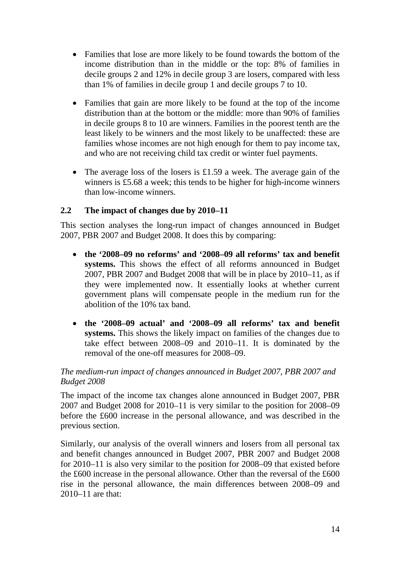- Families that lose are more likely to be found towards the bottom of the income distribution than in the middle or the top: 8% of families in decile groups 2 and 12% in decile group 3 are losers, compared with less than 1% of families in decile group 1 and decile groups 7 to 10.
- Families that gain are more likely to be found at the top of the income distribution than at the bottom or the middle: more than 90% of families in decile groups 8 to 10 are winners. Families in the poorest tenth are the least likely to be winners and the most likely to be unaffected: these are families whose incomes are not high enough for them to pay income tax, and who are not receiving child tax credit or winter fuel payments.
- The average loss of the losers is £1.59 a week. The average gain of the winners is £5.68 a week; this tends to be higher for high-income winners than low-income winners.

# **2.2 The impact of changes due by 2010–11**

This section analyses the long-run impact of changes announced in Budget 2007, PBR 2007 and Budget 2008. It does this by comparing:

- **the '2008–09 no reforms' and '2008–09 all reforms' tax and benefit systems.** This shows the effect of all reforms announced in Budget 2007, PBR 2007 and Budget 2008 that will be in place by 2010–11, as if they were implemented now. It essentially looks at whether current government plans will compensate people in the medium run for the abolition of the 10% tax band.
- **the '2008–09 actual' and '2008–09 all reforms' tax and benefit systems.** This shows the likely impact on families of the changes due to take effect between 2008–09 and 2010–11. It is dominated by the removal of the one-off measures for 2008–09.

## *The medium-run impact of changes announced in Budget 2007, PBR 2007 and Budget 2008*

The impact of the income tax changes alone announced in Budget 2007, PBR 2007 and Budget 2008 for 2010–11 is very similar to the position for 2008–09 before the £600 increase in the personal allowance, and was described in the previous section.

Similarly, our analysis of the overall winners and losers from all personal tax and benefit changes announced in Budget 2007, PBR 2007 and Budget 2008 for 2010–11 is also very similar to the position for 2008–09 that existed before the £600 increase in the personal allowance. Other than the reversal of the £600 rise in the personal allowance, the main differences between 2008–09 and 2010–11 are that: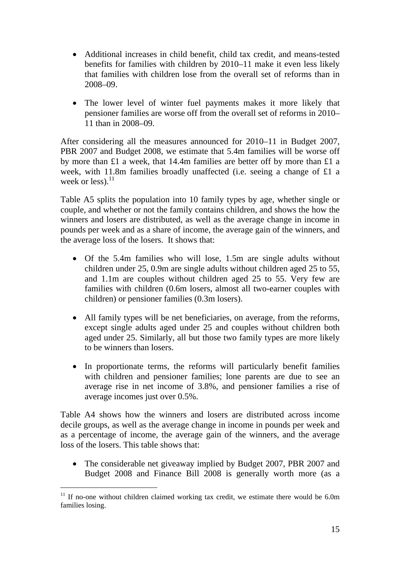- Additional increases in child benefit, child tax credit, and means-tested benefits for families with children by 2010–11 make it even less likely that families with children lose from the overall set of reforms than in 2008–09.
- The lower level of winter fuel payments makes it more likely that pensioner families are worse off from the overall set of reforms in 2010– 11 than in 2008–09.

After considering all the measures announced for 2010–11 in Budget 2007, PBR 2007 and Budget 2008, we estimate that 5.4m families will be worse off by more than £1 a week, that 14.4m families are better off by more than £1 a week, with 11.8m families broadly unaffected (i.e. seeing a change of £1 a week or less). $^{11}$ 

Table A5 splits the population into 10 family types by age, whether single or couple, and whether or not the family contains children, and shows the how the winners and losers are distributed, as well as the average change in income in pounds per week and as a share of income, the average gain of the winners, and the average loss of the losers. It shows that:

- Of the 5.4m families who will lose, 1.5m are single adults without children under 25, 0.9m are single adults without children aged 25 to 55, and 1.1m are couples without children aged 25 to 55. Very few are families with children (0.6m losers, almost all two-earner couples with children) or pensioner families (0.3m losers).
- All family types will be net beneficiaries, on average, from the reforms, except single adults aged under 25 and couples without children both aged under 25. Similarly, all but those two family types are more likely to be winners than losers.
- In proportionate terms, the reforms will particularly benefit families with children and pensioner families; lone parents are due to see an average rise in net income of 3.8%, and pensioner families a rise of average incomes just over 0.5%.

Table A4 shows how the winners and losers are distributed across income decile groups, as well as the average change in income in pounds per week and as a percentage of income, the average gain of the winners, and the average loss of the losers. This table shows that:

• The considerable net giveaway implied by Budget 2007, PBR 2007 and Budget 2008 and Finance Bill 2008 is generally worth more (as a

 $11$  If no-one without children claimed working tax credit, we estimate there would be 6.0m families losing.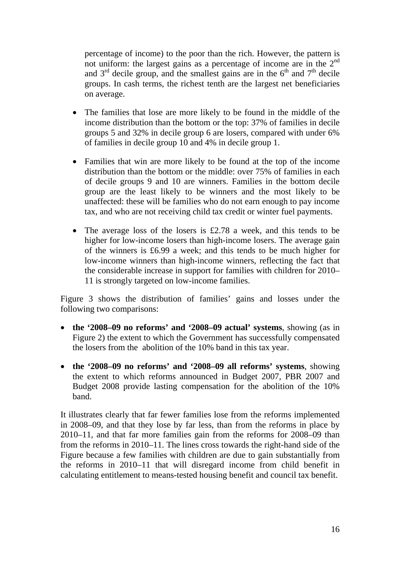percentage of income) to the poor than the rich. However, the pattern is not uniform: the largest gains as a percentage of income are in the 2<sup>nd</sup> and  $3<sup>rd</sup>$  decile group, and the smallest gains are in the  $6<sup>th</sup>$  and  $7<sup>th</sup>$  decile groups. In cash terms, the richest tenth are the largest net beneficiaries on average.

- The families that lose are more likely to be found in the middle of the income distribution than the bottom or the top: 37% of families in decile groups 5 and 32% in decile group 6 are losers, compared with under 6% of families in decile group 10 and 4% in decile group 1.
- Families that win are more likely to be found at the top of the income distribution than the bottom or the middle: over 75% of families in each of decile groups 9 and 10 are winners. Families in the bottom decile group are the least likely to be winners and the most likely to be unaffected: these will be families who do not earn enough to pay income tax, and who are not receiving child tax credit or winter fuel payments.
- The average loss of the losers is £2.78 a week, and this tends to be higher for low-income losers than high-income losers. The average gain of the winners is £6.99 a week; and this tends to be much higher for low-income winners than high-income winners, reflecting the fact that the considerable increase in support for families with children for 2010– 11 is strongly targeted on low-income families.

Figure 3 shows the distribution of families' gains and losses under the following two comparisons:

- **the '2008–09 no reforms' and '2008–09 actual' systems**, showing (as in Figure 2) the extent to which the Government has successfully compensated the losers from the abolition of the 10% band in this tax year.
- **the '2008–09 no reforms' and '2008–09 all reforms' systems**, showing the extent to which reforms announced in Budget 2007, PBR 2007 and Budget 2008 provide lasting compensation for the abolition of the 10% band.

It illustrates clearly that far fewer families lose from the reforms implemented in 2008–09, and that they lose by far less, than from the reforms in place by 2010–11, and that far more families gain from the reforms for 2008–09 than from the reforms in 2010–11. The lines cross towards the right-hand side of the Figure because a few families with children are due to gain substantially from the reforms in 2010–11 that will disregard income from child benefit in calculating entitlement to means-tested housing benefit and council tax benefit.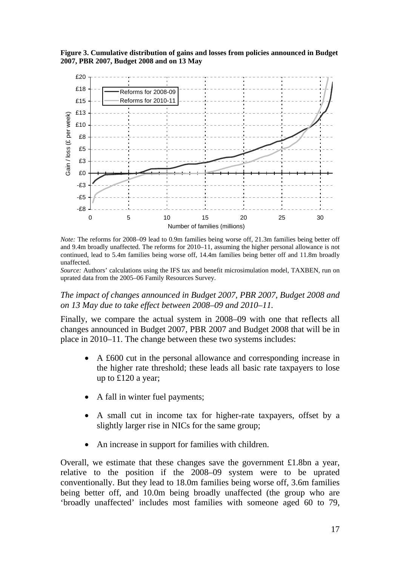**Figure 3. Cumulative distribution of gains and losses from policies announced in Budget 2007, PBR 2007, Budget 2008 and on 13 May** 



*Note:* The reforms for 2008–09 lead to 0.9m families being worse off, 21.3m families being better off and 9.4m broadly unaffected. The reforms for 2010–11, assuming the higher personal allowance is not continued, lead to 5.4m families being worse off, 14.4m families being better off and 11.8m broadly unaffected.

*Source:* Authors' calculations using the IFS tax and benefit microsimulation model, TAXBEN, run on uprated data from the 2005–06 Family Resources Survey.

#### *The impact of changes announced in Budget 2007, PBR 2007, Budget 2008 and on 13 May due to take effect between 2008–09 and 2010–11.*

Finally, we compare the actual system in 2008–09 with one that reflects all changes announced in Budget 2007, PBR 2007 and Budget 2008 that will be in place in 2010–11. The change between these two systems includes:

- A £600 cut in the personal allowance and corresponding increase in the higher rate threshold; these leads all basic rate taxpayers to lose up to £120 a year;
- A fall in winter fuel payments;
- A small cut in income tax for higher-rate taxpayers, offset by a slightly larger rise in NICs for the same group;
- An increase in support for families with children.

Overall, we estimate that these changes save the government £1.8bn a year, relative to the position if the 2008–09 system were to be uprated conventionally. But they lead to 18.0m families being worse off, 3.6m families being better off, and 10.0m being broadly unaffected (the group who are 'broadly unaffected' includes most families with someone aged 60 to 79,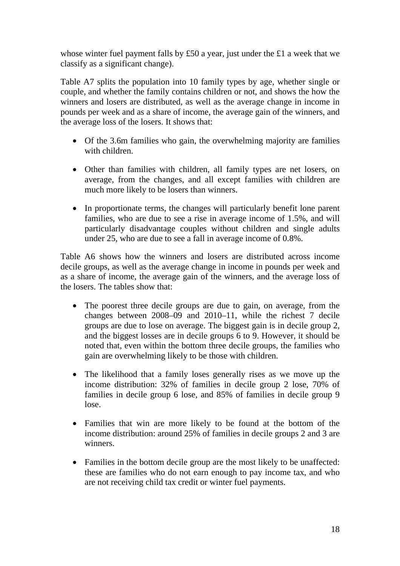whose winter fuel payment falls by £50 a year, just under the £1 a week that we classify as a significant change).

Table A7 splits the population into 10 family types by age, whether single or couple, and whether the family contains children or not, and shows the how the winners and losers are distributed, as well as the average change in income in pounds per week and as a share of income, the average gain of the winners, and the average loss of the losers. It shows that:

- Of the 3.6m families who gain, the overwhelming majority are families with children.
- Other than families with children, all family types are net losers, on average, from the changes, and all except families with children are much more likely to be losers than winners.
- In proportionate terms, the changes will particularly benefit lone parent families, who are due to see a rise in average income of 1.5%, and will particularly disadvantage couples without children and single adults under 25, who are due to see a fall in average income of 0.8%.

Table A6 shows how the winners and losers are distributed across income decile groups, as well as the average change in income in pounds per week and as a share of income, the average gain of the winners, and the average loss of the losers. The tables show that:

- The poorest three decile groups are due to gain, on average, from the changes between 2008–09 and 2010–11, while the richest 7 decile groups are due to lose on average. The biggest gain is in decile group 2, and the biggest losses are in decile groups 6 to 9. However, it should be noted that, even within the bottom three decile groups, the families who gain are overwhelming likely to be those with children.
- The likelihood that a family loses generally rises as we move up the income distribution: 32% of families in decile group 2 lose, 70% of families in decile group 6 lose, and 85% of families in decile group 9 lose.
- Families that win are more likely to be found at the bottom of the income distribution: around 25% of families in decile groups 2 and 3 are winners.
- Families in the bottom decile group are the most likely to be unaffected: these are families who do not earn enough to pay income tax, and who are not receiving child tax credit or winter fuel payments.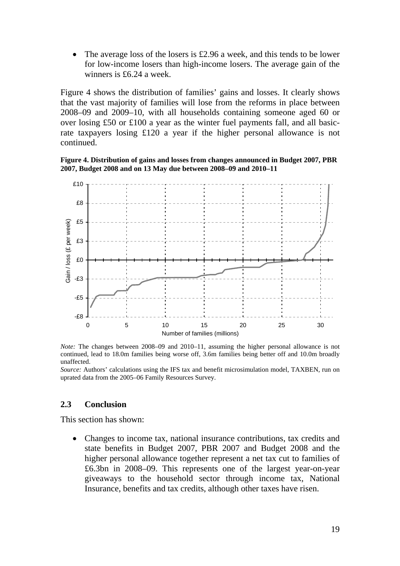The average loss of the losers is  $£2.96$  a week, and this tends to be lower for low-income losers than high-income losers. The average gain of the winners is £6.24 a week.

Figure 4 shows the distribution of families' gains and losses. It clearly shows that the vast majority of families will lose from the reforms in place between 2008–09 and 2009–10, with all households containing someone aged 60 or over losing £50 or £100 a year as the winter fuel payments fall, and all basicrate taxpayers losing £120 a year if the higher personal allowance is not continued.





*Note:* The changes between 2008–09 and 2010–11, assuming the higher personal allowance is not continued, lead to 18.0m families being worse off, 3.6m families being better off and 10.0m broadly unaffected.

*Source:* Authors' calculations using the IFS tax and benefit microsimulation model, TAXBEN, run on uprated data from the 2005–06 Family Resources Survey.

#### **2.3 Conclusion**

This section has shown:

• Changes to income tax, national insurance contributions, tax credits and state benefits in Budget 2007, PBR 2007 and Budget 2008 and the higher personal allowance together represent a net tax cut to families of £6.3bn in 2008–09. This represents one of the largest year-on-year giveaways to the household sector through income tax, National Insurance, benefits and tax credits, although other taxes have risen.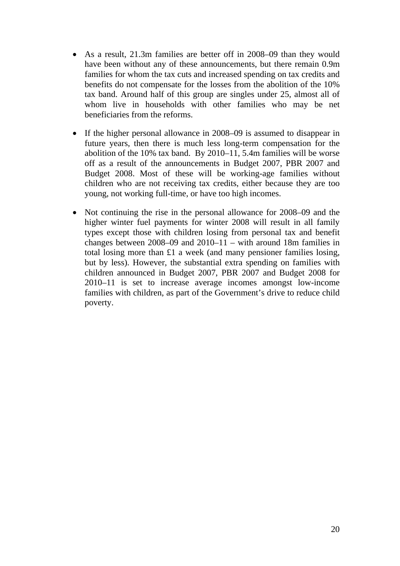- As a result, 21.3m families are better off in 2008–09 than they would have been without any of these announcements, but there remain 0.9m families for whom the tax cuts and increased spending on tax credits and benefits do not compensate for the losses from the abolition of the 10% tax band. Around half of this group are singles under 25, almost all of whom live in households with other families who may be net beneficiaries from the reforms.
- If the higher personal allowance in 2008–09 is assumed to disappear in future years, then there is much less long-term compensation for the abolition of the 10% tax band. By 2010–11, 5.4m families will be worse off as a result of the announcements in Budget 2007, PBR 2007 and Budget 2008. Most of these will be working-age families without children who are not receiving tax credits, either because they are too young, not working full-time, or have too high incomes.
- Not continuing the rise in the personal allowance for 2008–09 and the higher winter fuel payments for winter 2008 will result in all family types except those with children losing from personal tax and benefit changes between 2008–09 and 2010–11 – with around 18m families in total losing more than £1 a week (and many pensioner families losing, but by less). However, the substantial extra spending on families with children announced in Budget 2007, PBR 2007 and Budget 2008 for 2010–11 is set to increase average incomes amongst low-income families with children, as part of the Government's drive to reduce child poverty.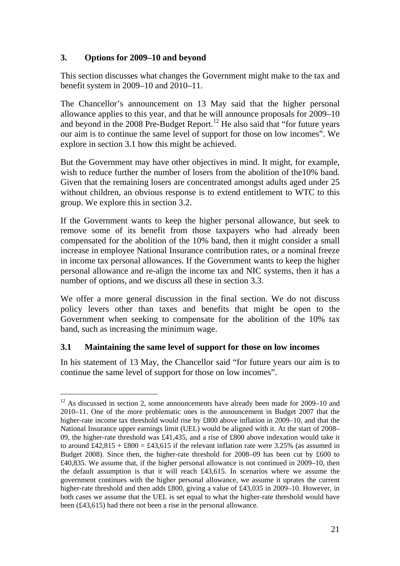## **3. Options for 2009–10 and beyond**

This section discusses what changes the Government might make to the tax and benefit system in 2009–10 and 2010–11.

The Chancellor's announcement on 13 May said that the higher personal allowance applies to this year, and that he will announce proposals for 2009–10 and beyond in the 2008 Pre-Budget Report.<sup>12</sup> He also said that "for future years" our aim is to continue the same level of support for those on low incomes". We explore in section 3.1 how this might be achieved.

But the Government may have other objectives in mind. It might, for example, wish to reduce further the number of losers from the abolition of the 10% band. Given that the remaining losers are concentrated amongst adults aged under 25 without children, an obvious response is to extend entitlement to WTC to this group. We explore this in section 3.2.

If the Government wants to keep the higher personal allowance, but seek to remove some of its benefit from those taxpayers who had already been compensated for the abolition of the 10% band, then it might consider a small increase in employee National Insurance contribution rates, or a nominal freeze in income tax personal allowances. If the Government wants to keep the higher personal allowance and re-align the income tax and NIC systems, then it has a number of options, and we discuss all these in section 3.3.

We offer a more general discussion in the final section. We do not discuss policy levers other than taxes and benefits that might be open to the Government when seeking to compensate for the abolition of the 10% tax band, such as increasing the minimum wage.

# **3.1 Maintaining the same level of support for those on low incomes**

l

In his statement of 13 May, the Chancellor said "for future years our aim is to continue the same level of support for those on low incomes".

 $12$  As discussed in section 2, some announcements have already been made for 2009–10 and 2010–11. One of the more problematic ones is the announcement in Budget 2007 that the higher-rate income tax threshold would rise by £800 above inflation in 2009–10, and that the National Insurance upper earnings limit (UEL) would be aligned with it. At the start of 2008– 09, the higher-rate threshold was £41,435, and a rise of £800 above indexation would take it to around  $\text{\pounds}42.815 + \text{\pounds}800 = \text{\pounds}43.615$  if the relevant inflation rate were 3.25% (as assumed in Budget 2008). Since then, the higher-rate threshold for 2008–09 has been cut by £600 to £40,835. We assume that, if the higher personal allowance is not continued in 2009–10, then the default assumption is that it will reach £43,615. In scenarios where we assume the government continues with the higher personal allowance, we assume it uprates the current higher-rate threshold and then adds £800, giving a value of £43,035 in 2009–10. However, in both cases we assume that the UEL is set equal to what the higher-rate threshold would have been (£43,615) had there not been a rise in the personal allowance.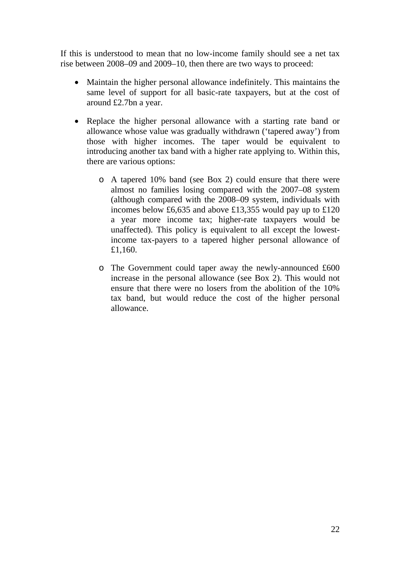If this is understood to mean that no low-income family should see a net tax rise between 2008–09 and 2009–10, then there are two ways to proceed:

- Maintain the higher personal allowance indefinitely. This maintains the same level of support for all basic-rate taxpayers, but at the cost of around £2.7bn a year.
- Replace the higher personal allowance with a starting rate band or allowance whose value was gradually withdrawn ('tapered away') from those with higher incomes. The taper would be equivalent to introducing another tax band with a higher rate applying to. Within this, there are various options:
	- o A tapered 10% band (see Box 2) could ensure that there were almost no families losing compared with the 2007–08 system (although compared with the 2008–09 system, individuals with incomes below £6,635 and above £13,355 would pay up to £120 a year more income tax; higher-rate taxpayers would be unaffected). This policy is equivalent to all except the lowestincome tax-payers to a tapered higher personal allowance of £1,160.
	- o The Government could taper away the newly-announced £600 increase in the personal allowance (see Box 2). This would not ensure that there were no losers from the abolition of the 10% tax band, but would reduce the cost of the higher personal allowance.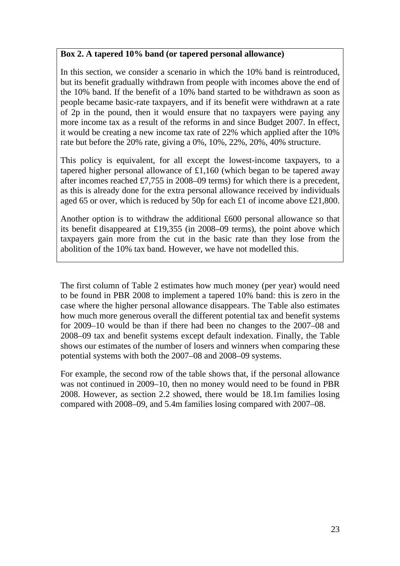#### **Box 2. A tapered 10% band (or tapered personal allowance)**

In this section, we consider a scenario in which the 10% band is reintroduced, but its benefit gradually withdrawn from people with incomes above the end of the 10% band. If the benefit of a 10% band started to be withdrawn as soon as people became basic-rate taxpayers, and if its benefit were withdrawn at a rate of 2p in the pound, then it would ensure that no taxpayers were paying any more income tax as a result of the reforms in and since Budget 2007. In effect, it would be creating a new income tax rate of 22% which applied after the 10% rate but before the 20% rate, giving a 0%, 10%, 22%, 20%, 40% structure.

This policy is equivalent, for all except the lowest-income taxpayers, to a tapered higher personal allowance of £1,160 (which began to be tapered away after incomes reached £7,755 in 2008–09 terms) for which there is a precedent, as this is already done for the extra personal allowance received by individuals aged 65 or over, which is reduced by 50p for each £1 of income above £21,800.

Another option is to withdraw the additional £600 personal allowance so that its benefit disappeared at £19,355 (in 2008–09 terms), the point above which taxpayers gain more from the cut in the basic rate than they lose from the abolition of the 10% tax band. However, we have not modelled this.

The first column of Table 2 estimates how much money (per year) would need to be found in PBR 2008 to implement a tapered 10% band: this is zero in the case where the higher personal allowance disappears. The Table also estimates how much more generous overall the different potential tax and benefit systems for 2009–10 would be than if there had been no changes to the 2007–08 and 2008–09 tax and benefit systems except default indexation. Finally, the Table shows our estimates of the number of losers and winners when comparing these potential systems with both the 2007–08 and 2008–09 systems.

For example, the second row of the table shows that, if the personal allowance was not continued in 2009–10, then no money would need to be found in PBR 2008. However, as section 2.2 showed, there would be 18.1m families losing compared with 2008–09, and 5.4m families losing compared with 2007–08.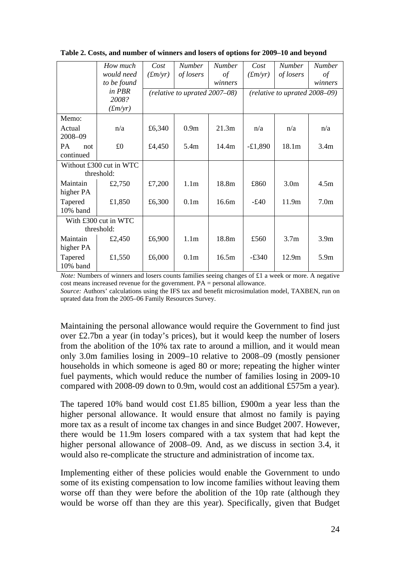|                  | How much                | Cost    | <b>Number</b>                 | <b>Number</b> | Cost                          | <b>Number</b>    | <b>Number</b>    |  |
|------------------|-------------------------|---------|-------------------------------|---------------|-------------------------------|------------------|------------------|--|
|                  | would need              | (fm/yr) | of losers                     | of            | (fm/yr)                       | of losers        | of               |  |
|                  | to be found             |         |                               | winners       |                               |                  | winners          |  |
|                  | in PBR                  |         | (relative to uprated 2007-08) |               | (relative to uprated 2008-09) |                  |                  |  |
|                  | 2008?                   |         |                               |               |                               |                  |                  |  |
|                  | (fm/yr)                 |         |                               |               |                               |                  |                  |  |
| Memo:            |                         |         |                               |               |                               |                  |                  |  |
| Actual           | n/a                     | £6,340  | 0.9 <sub>m</sub>              | 21.3m         | n/a                           | n/a              | n/a              |  |
| 2008-09          |                         |         |                               |               |                               |                  |                  |  |
| <b>PA</b><br>not | £0                      | £4,450  | 5.4m                          | 14.4m         | $-£1,890$                     | 18.1m            | 3.4 <sub>m</sub> |  |
| continued        |                         |         |                               |               |                               |                  |                  |  |
|                  | Without £300 cut in WTC |         |                               |               |                               |                  |                  |  |
|                  | threshold:              |         |                               |               |                               |                  |                  |  |
| Maintain         | £2,750                  | £7,200  | 1.1 <sub>m</sub>              | 18.8m         | £860                          | 3.0 <sub>m</sub> | 4.5m             |  |
| higher PA        |                         |         |                               |               |                               |                  |                  |  |
| Tapered          | £1,850                  | £6,300  | 0.1 <sub>m</sub>              | 16.6m         | $-£40$                        | 11.9m            | 7.0 <sub>m</sub> |  |
| 10% band         |                         |         |                               |               |                               |                  |                  |  |
|                  | With £300 cut in WTC    |         |                               |               |                               |                  |                  |  |
|                  | threshold:              |         |                               |               |                               |                  |                  |  |
| Maintain         | £2,450                  | £6,900  | 1.1 <sub>m</sub>              | 18.8m         | £560                          | 3.7 <sub>m</sub> | 3.9 <sub>m</sub> |  |
| higher PA        |                         |         |                               |               |                               |                  |                  |  |
| Tapered          | £1,550                  | £6,000  | 0.1 <sub>m</sub>              | 16.5m         | $-£340$                       | 12.9m            | 5.9m             |  |
| 10% band         |                         |         |                               |               |                               |                  |                  |  |

**Table 2. Costs, and number of winners and losers of options for 2009–10 and beyond** 

*Note:* Numbers of winners and losers counts families seeing changes of £1 a week or more. A negative cost means increased revenue for the government. PA = personal allowance.

*Source:* Authors' calculations using the IFS tax and benefit microsimulation model, TAXBEN, run on uprated data from the 2005–06 Family Resources Survey.

Maintaining the personal allowance would require the Government to find just over £2.7bn a year (in today's prices), but it would keep the number of losers from the abolition of the 10% tax rate to around a million, and it would mean only 3.0m families losing in 2009–10 relative to 2008–09 (mostly pensioner households in which someone is aged 80 or more; repeating the higher winter fuel payments, which would reduce the number of families losing in 2009-10 compared with 2008-09 down to 0.9m, would cost an additional £575m a year).

The tapered 10% band would cost £1.85 billion, £900m a year less than the higher personal allowance. It would ensure that almost no family is paying more tax as a result of income tax changes in and since Budget 2007. However, there would be 11.9m losers compared with a tax system that had kept the higher personal allowance of 2008–09. And, as we discuss in section 3.4, it would also re-complicate the structure and administration of income tax.

Implementing either of these policies would enable the Government to undo some of its existing compensation to low income families without leaving them worse off than they were before the abolition of the 10p rate (although they would be worse off than they are this year). Specifically, given that Budget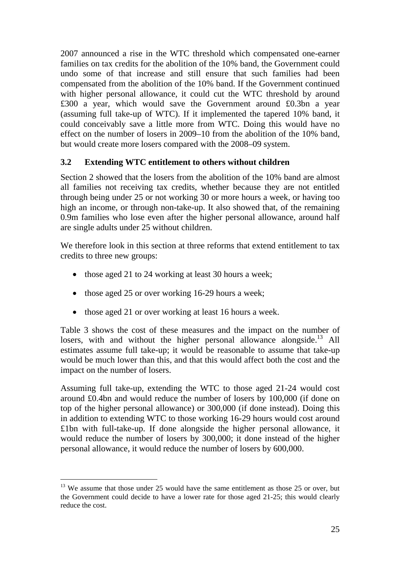2007 announced a rise in the WTC threshold which compensated one-earner families on tax credits for the abolition of the 10% band, the Government could undo some of that increase and still ensure that such families had been compensated from the abolition of the 10% band. If the Government continued with higher personal allowance, it could cut the WTC threshold by around £300 a year, which would save the Government around £0.3bn a year (assuming full take-up of WTC). If it implemented the tapered 10% band, it could conceivably save a little more from WTC. Doing this would have no effect on the number of losers in 2009–10 from the abolition of the 10% band, but would create more losers compared with the 2008–09 system.

# **3.2 Extending WTC entitlement to others without children**

Section 2 showed that the losers from the abolition of the 10% band are almost all families not receiving tax credits, whether because they are not entitled through being under 25 or not working 30 or more hours a week, or having too high an income, or through non-take-up. It also showed that, of the remaining 0.9m families who lose even after the higher personal allowance, around half are single adults under 25 without children.

We therefore look in this section at three reforms that extend entitlement to tax credits to three new groups:

- those aged 21 to 24 working at least 30 hours a week;
- those aged 25 or over working 16-29 hours a week;
- those aged 21 or over working at least 16 hours a week.

Table 3 shows the cost of these measures and the impact on the number of losers, with and without the higher personal allowance alongside.<sup>13</sup> All estimates assume full take-up; it would be reasonable to assume that take-up would be much lower than this, and that this would affect both the cost and the impact on the number of losers.

Assuming full take-up, extending the WTC to those aged 21-24 would cost around £0.4bn and would reduce the number of losers by 100,000 (if done on top of the higher personal allowance) or 300,000 (if done instead). Doing this in addition to extending WTC to those working 16-29 hours would cost around £1bn with full-take-up. If done alongside the higher personal allowance, it would reduce the number of losers by 300,000; it done instead of the higher personal allowance, it would reduce the number of losers by 600,000.

 $13$  We assume that those under 25 would have the same entitlement as those 25 or over, but the Government could decide to have a lower rate for those aged 21-25; this would clearly reduce the cost.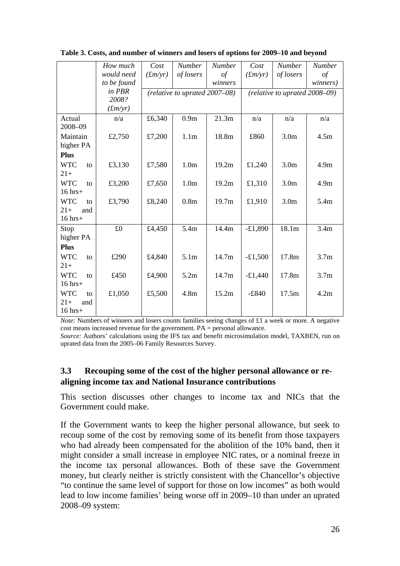|                       | How much    | Cost    | <b>Number</b>                   | <b>Number</b> | Cost      | <b>Number</b>                      | <b>Number</b>    |
|-----------------------|-------------|---------|---------------------------------|---------------|-----------|------------------------------------|------------------|
|                       | would need  | (fm/yr) | of losers                       | $\sigma f$    | (fm/yr)   | of losers                          | $\sigma f$       |
|                       | to be found |         |                                 | winners       |           |                                    | winners)         |
|                       | in PBR      |         | $(relative to uprated 2007-08)$ |               |           | (relative to uprated $2008 - 09$ ) |                  |
|                       | 2008?       |         |                                 |               |           |                                    |                  |
|                       | (fm/yr)     |         |                                 |               |           |                                    |                  |
| Actual<br>2008-09     | n/a         | £6,340  | 0.9 <sub>m</sub>                | 21.3m         | n/a       | n/a                                | n/a              |
| Maintain<br>higher PA | £2,750      | £7,200  | 1.1 <sub>m</sub>                | 18.8m         | £860      | 3.0 <sub>m</sub>                   | 4.5m             |
| <b>Plus</b>           |             |         |                                 |               |           |                                    |                  |
| <b>WTC</b><br>to      | £3,130      | £7,580  | 1.0 <sub>m</sub>                | 19.2m         | £1,240    | 3.0 <sub>m</sub>                   | 4.9 <sub>m</sub> |
| $21+$                 |             |         |                                 |               |           |                                    |                  |
| <b>WTC</b><br>to      | £3,200      | £7,650  | 1.0 <sub>m</sub>                | 19.2m         | £1,310    | 3.0 <sub>m</sub>                   | 4.9 <sub>m</sub> |
| $16$ hrs+             |             |         |                                 |               |           |                                    |                  |
| <b>WTC</b><br>to      | £3,790      | £8,240  | 0.8 <sub>m</sub>                | 19.7m         | £1,910    | 3.0 <sub>m</sub>                   | 5.4m             |
| $21+$<br>and          |             |         |                                 |               |           |                                    |                  |
| $16 hrs +$            |             |         |                                 |               |           |                                    |                  |
| Stop                  | £0          | £4,450  | 5.4m                            | 14.4m         | $-£1,890$ | 18.1m                              | 3.4m             |
| higher PA             |             |         |                                 |               |           |                                    |                  |
| <b>Plus</b>           |             |         |                                 |               |           |                                    |                  |
| <b>WTC</b><br>to      | £290        | £4,840  | 5.1 <sub>m</sub>                | 14.7m         | $-£1,500$ | 17.8m                              | 3.7 <sub>m</sub> |
| $21+$                 |             |         |                                 |               |           |                                    |                  |
| <b>WTC</b><br>to      | £450        | £4,900  | 5.2m                            | 14.7m         | $-£1,440$ | 17.8m                              | 3.7 <sub>m</sub> |
| $16$ hrs+             |             |         |                                 |               |           |                                    |                  |
| <b>WTC</b><br>to      | £1,050      | £5,500  | 4.8 <sub>m</sub>                | 15.2m         | $-£840$   | 17.5m                              | 4.2m             |
| $21+$<br>and          |             |         |                                 |               |           |                                    |                  |
| $16$ hrs+             |             |         |                                 |               |           |                                    |                  |

**Table 3. Costs, and number of winners and losers of options for 2009–10 and beyond** 

*Note:* Numbers of winners and losers counts families seeing changes of £1 a week or more. A negative cost means increased revenue for the government. PA = personal allowance.

*Source:* Authors' calculations using the IFS tax and benefit microsimulation model, TAXBEN, run on uprated data from the 2005–06 Family Resources Survey.

# **3.3 Recouping some of the cost of the higher personal allowance or realigning income tax and National Insurance contributions**

This section discusses other changes to income tax and NICs that the Government could make.

If the Government wants to keep the higher personal allowance, but seek to recoup some of the cost by removing some of its benefit from those taxpayers who had already been compensated for the abolition of the 10% band, then it might consider a small increase in employee NIC rates, or a nominal freeze in the income tax personal allowances. Both of these save the Government money, but clearly neither is strictly consistent with the Chancellor's objective "to continue the same level of support for those on low incomes" as both would lead to low income families' being worse off in 2009–10 than under an uprated 2008–09 system: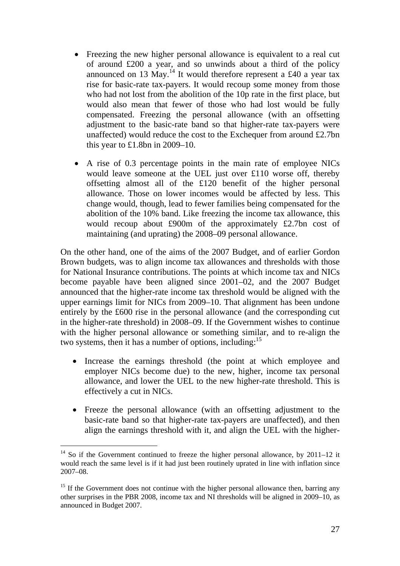- Freezing the new higher personal allowance is equivalent to a real cut of around £200 a year, and so unwinds about a third of the policy announced on 13 May.<sup>14</sup> It would therefore represent a £40 a year tax rise for basic-rate tax-payers. It would recoup some money from those who had not lost from the abolition of the 10p rate in the first place, but would also mean that fewer of those who had lost would be fully compensated. Freezing the personal allowance (with an offsetting adjustment to the basic-rate band so that higher-rate tax-payers were unaffected) would reduce the cost to the Exchequer from around £2.7bn this year to £1.8bn in 2009–10.
- A rise of 0.3 percentage points in the main rate of employee NICs would leave someone at the UEL just over £110 worse off, thereby offsetting almost all of the £120 benefit of the higher personal allowance. Those on lower incomes would be affected by less. This change would, though, lead to fewer families being compensated for the abolition of the 10% band. Like freezing the income tax allowance, this would recoup about £900m of the approximately £2.7bn cost of maintaining (and uprating) the 2008–09 personal allowance.

On the other hand, one of the aims of the 2007 Budget, and of earlier Gordon Brown budgets, was to align income tax allowances and thresholds with those for National Insurance contributions. The points at which income tax and NICs become payable have been aligned since 2001–02, and the 2007 Budget announced that the higher-rate income tax threshold would be aligned with the upper earnings limit for NICs from 2009–10. That alignment has been undone entirely by the £600 rise in the personal allowance (and the corresponding cut in the higher-rate threshold) in 2008–09. If the Government wishes to continue with the higher personal allowance or something similar, and to re-align the two systems, then it has a number of options, including:<sup>15</sup>

- Increase the earnings threshold (the point at which employee and employer NICs become due) to the new, higher, income tax personal allowance, and lower the UEL to the new higher-rate threshold. This is effectively a cut in NICs.
- Freeze the personal allowance (with an offsetting adjustment to the basic-rate band so that higher-rate tax-payers are unaffected), and then align the earnings threshold with it, and align the UEL with the higher-

<sup>&</sup>lt;sup>14</sup> So if the Government continued to freeze the higher personal allowance, by 2011–12 it would reach the same level is if it had just been routinely uprated in line with inflation since 2007–08.

 $15$  If the Government does not continue with the higher personal allowance then, barring any other surprises in the PBR 2008, income tax and NI thresholds will be aligned in 2009–10, as announced in Budget 2007.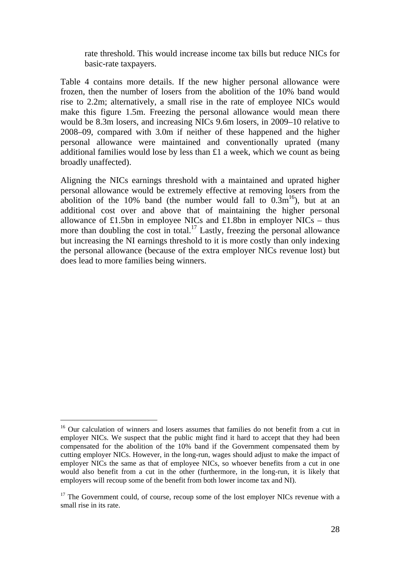rate threshold. This would increase income tax bills but reduce NICs for basic-rate taxpayers.

Table 4 contains more details. If the new higher personal allowance were frozen, then the number of losers from the abolition of the 10% band would rise to 2.2m; alternatively, a small rise in the rate of employee NICs would make this figure 1.5m. Freezing the personal allowance would mean there would be 8.3m losers, and increasing NICs 9.6m losers, in 2009–10 relative to 2008–09, compared with 3.0m if neither of these happened and the higher personal allowance were maintained and conventionally uprated (many additional families would lose by less than £1 a week, which we count as being broadly unaffected).

Aligning the NICs earnings threshold with a maintained and uprated higher personal allowance would be extremely effective at removing losers from the abolition of the 10% band (the number would fall to  $0.3m^{16}$ ), but at an additional cost over and above that of maintaining the higher personal allowance of £1.5bn in employee NICs and £1.8bn in employer NICs – thus more than doubling the cost in total.<sup>17</sup> Lastly, freezing the personal allowance but increasing the NI earnings threshold to it is more costly than only indexing the personal allowance (because of the extra employer NICs revenue lost) but does lead to more families being winners.

<sup>&</sup>lt;sup>16</sup> Our calculation of winners and losers assumes that families do not benefit from a cut in employer NICs. We suspect that the public might find it hard to accept that they had been compensated for the abolition of the 10% band if the Government compensated them by cutting employer NICs. However, in the long-run, wages should adjust to make the impact of employer NICs the same as that of employee NICs, so whoever benefits from a cut in one would also benefit from a cut in the other (furthermore, in the long-run, it is likely that employers will recoup some of the benefit from both lower income tax and NI).

 $17$  The Government could, of course, recoup some of the lost employer NICs revenue with a small rise in its rate.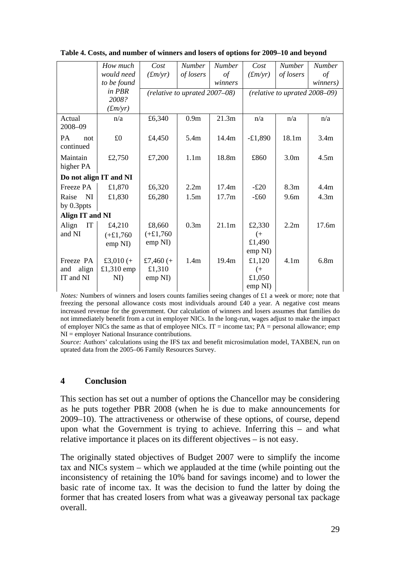|                                     | How much               | Cost        | <b>Number</b>                 | <b>Number</b>     | Cost      | <b>Number</b>                    | <b>Number</b>    |  |  |
|-------------------------------------|------------------------|-------------|-------------------------------|-------------------|-----------|----------------------------------|------------------|--|--|
|                                     | would need             | (fm/yr)     | of losers                     | $\sigma f$        | (fm/yr)   | of losers                        | $\iota$          |  |  |
|                                     | to be found            |             |                               | winners           |           |                                  | winners)         |  |  |
|                                     | in PBR                 |             | (relative to uprated 2007-08) |                   |           | (relative to uprated $2008-09$ ) |                  |  |  |
|                                     | 2008?                  |             |                               |                   |           |                                  |                  |  |  |
|                                     | (fm/yr)                |             |                               |                   |           |                                  |                  |  |  |
| Actual<br>2008-09                   | n/a                    | £6,340      | 0.9 <sub>m</sub>              | 21.3m             | n/a       | n/a                              | n/a              |  |  |
| <b>PA</b><br>not<br>continued       | £0                     | £4,450      | 5.4m                          | 14.4m             | $-£1,890$ | 18.1 <sub>m</sub>                | 3.4m             |  |  |
| Maintain<br>higher PA               | £2,750                 | £7,200      | 1.1 <sub>m</sub>              | 18.8m             | £860      | 3.0 <sub>m</sub>                 | 4.5m             |  |  |
|                                     | Do not align IT and NI |             |                               |                   |           |                                  |                  |  |  |
| Freeze PA                           | £1,870                 | £6,320      | 2.2m                          | 17.4m             | $-£20$    | 8.3 <sub>m</sub>                 | 4.4m             |  |  |
| Raise<br>NI                         | £1,830                 | £6,280      | 1.5m                          | 17.7 <sub>m</sub> | $-£60$    | 9.6 <sub>m</sub>                 | 4.3m             |  |  |
| by 0.3ppts                          |                        |             |                               |                   |           |                                  |                  |  |  |
| Align IT and NI                     |                        |             |                               |                   |           |                                  |                  |  |  |
| $\ensuremath{\mathsf{IT}}$<br>Align | £4,210                 | £8,660      | 0.3 <sub>m</sub>              | 21.1m             | £2,330    | 2.2m                             | 17.6m            |  |  |
| and NI                              | $(+£1,760$             | $(+£1,760$  |                               |                   | (         |                                  |                  |  |  |
|                                     | emp NI)                | emp NI)     |                               |                   | £1,490    |                                  |                  |  |  |
|                                     |                        |             |                               |                   | emp NI)   |                                  |                  |  |  |
| Freeze PA                           | £3,010 $(+$            | £7,460 $(+$ | 1.4 <sub>m</sub>              | 19.4m             | £1,120    | 4.1 <sub>m</sub>                 | 6.8 <sub>m</sub> |  |  |
| align<br>and                        | £1,310 emp             | £1,310      |                               |                   | $($ +     |                                  |                  |  |  |
| IT and NI                           | NI)                    | emp NI)     |                               |                   | £1,050    |                                  |                  |  |  |
|                                     |                        |             |                               |                   | emp NI)   |                                  |                  |  |  |

**Table 4. Costs, and number of winners and losers of options for 2009–10 and beyond** 

*Notes:* Numbers of winners and losers counts families seeing changes of £1 a week or more; note that freezing the personal allowance costs most individuals around £40 a year. A negative cost means increased revenue for the government. Our calculation of winners and losers assumes that families do not immediately benefit from a cut in employer NICs. In the long-run, wages adjust to make the impact of employer NICs the same as that of employee NICs. IT = income tax;  $PA$  = personal allowance; emp NI = employer National Insurance contributions.

*Source:* Authors' calculations using the IFS tax and benefit microsimulation model, TAXBEN, run on uprated data from the 2005–06 Family Resources Survey.

#### **4 Conclusion**

This section has set out a number of options the Chancellor may be considering as he puts together PBR 2008 (when he is due to make announcements for 2009–10). The attractiveness or otherwise of these options, of course, depend upon what the Government is trying to achieve. Inferring this – and what relative importance it places on its different objectives – is not easy.

The originally stated objectives of Budget 2007 were to simplify the income tax and NICs system – which we applauded at the time (while pointing out the inconsistency of retaining the 10% band for savings income) and to lower the basic rate of income tax. It was the decision to fund the latter by doing the former that has created losers from what was a giveaway personal tax package overall.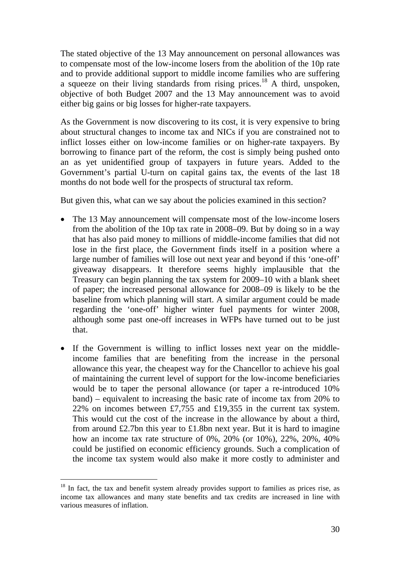The stated objective of the 13 May announcement on personal allowances was to compensate most of the low-income losers from the abolition of the 10p rate and to provide additional support to middle income families who are suffering a squeeze on their living standards from rising prices.<sup>18</sup> A third, unspoken, objective of both Budget 2007 and the 13 May announcement was to avoid either big gains or big losses for higher-rate taxpayers.

As the Government is now discovering to its cost, it is very expensive to bring about structural changes to income tax and NICs if you are constrained not to inflict losses either on low-income families or on higher-rate taxpayers. By borrowing to finance part of the reform, the cost is simply being pushed onto an as yet unidentified group of taxpayers in future years. Added to the Government's partial U-turn on capital gains tax, the events of the last 18 months do not bode well for the prospects of structural tax reform.

But given this, what can we say about the policies examined in this section?

- The 13 May announcement will compensate most of the low-income losers from the abolition of the 10p tax rate in 2008–09. But by doing so in a way that has also paid money to millions of middle-income families that did not lose in the first place, the Government finds itself in a position where a large number of families will lose out next year and beyond if this 'one-off' giveaway disappears. It therefore seems highly implausible that the Treasury can begin planning the tax system for 2009–10 with a blank sheet of paper; the increased personal allowance for 2008–09 is likely to be the baseline from which planning will start. A similar argument could be made regarding the 'one-off' higher winter fuel payments for winter 2008, although some past one-off increases in WFPs have turned out to be just that.
- If the Government is willing to inflict losses next year on the middleincome families that are benefiting from the increase in the personal allowance this year, the cheapest way for the Chancellor to achieve his goal of maintaining the current level of support for the low-income beneficiaries would be to taper the personal allowance (or taper a re-introduced 10% band) – equivalent to increasing the basic rate of income tax from 20% to 22% on incomes between £7,755 and £19,355 in the current tax system. This would cut the cost of the increase in the allowance by about a third, from around £2.7bn this year to £1.8bn next year. But it is hard to imagine how an income tax rate structure of 0%, 20% (or 10%), 22%, 20%, 40% could be justified on economic efficiency grounds. Such a complication of the income tax system would also make it more costly to administer and

 $\overline{\phantom{a}}$ 

<sup>&</sup>lt;sup>18</sup> In fact, the tax and benefit system already provides support to families as prices rise, as income tax allowances and many state benefits and tax credits are increased in line with various measures of inflation.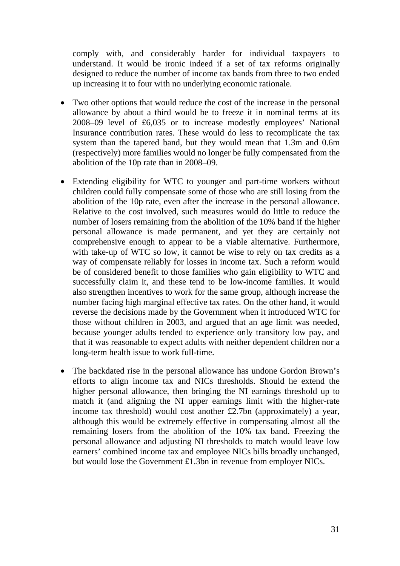comply with, and considerably harder for individual taxpayers to understand. It would be ironic indeed if a set of tax reforms originally designed to reduce the number of income tax bands from three to two ended up increasing it to four with no underlying economic rationale.

- Two other options that would reduce the cost of the increase in the personal allowance by about a third would be to freeze it in nominal terms at its 2008–09 level of £6,035 or to increase modestly employees' National Insurance contribution rates. These would do less to recomplicate the tax system than the tapered band, but they would mean that 1.3m and 0.6m (respectively) more families would no longer be fully compensated from the abolition of the 10p rate than in 2008–09.
- Extending eligibility for WTC to younger and part-time workers without children could fully compensate some of those who are still losing from the abolition of the 10p rate, even after the increase in the personal allowance. Relative to the cost involved, such measures would do little to reduce the number of losers remaining from the abolition of the 10% band if the higher personal allowance is made permanent, and yet they are certainly not comprehensive enough to appear to be a viable alternative. Furthermore, with take-up of WTC so low, it cannot be wise to rely on tax credits as a way of compensate reliably for losses in income tax. Such a reform would be of considered benefit to those families who gain eligibility to WTC and successfully claim it, and these tend to be low-income families. It would also strengthen incentives to work for the same group, although increase the number facing high marginal effective tax rates. On the other hand, it would reverse the decisions made by the Government when it introduced WTC for those without children in 2003, and argued that an age limit was needed, because younger adults tended to experience only transitory low pay, and that it was reasonable to expect adults with neither dependent children nor a long-term health issue to work full-time.
- The backdated rise in the personal allowance has undone Gordon Brown's efforts to align income tax and NICs thresholds. Should he extend the higher personal allowance, then bringing the NI earnings threshold up to match it (and aligning the NI upper earnings limit with the higher-rate income tax threshold) would cost another £2.7bn (approximately) a year, although this would be extremely effective in compensating almost all the remaining losers from the abolition of the 10% tax band. Freezing the personal allowance and adjusting NI thresholds to match would leave low earners' combined income tax and employee NICs bills broadly unchanged, but would lose the Government £1.3bn in revenue from employer NICs.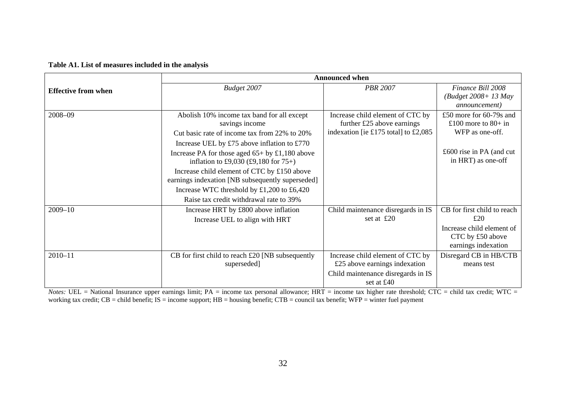#### **Table A1. List of measures included in the analysis**

|                            |                                                                                                 | <b>Announced when</b>                            |                                                 |
|----------------------------|-------------------------------------------------------------------------------------------------|--------------------------------------------------|-------------------------------------------------|
| <b>Effective from when</b> | Budget 2007                                                                                     | <b>PBR 2007</b>                                  | Finance Bill 2008                               |
|                            |                                                                                                 |                                                  | (Budget 2008+ 13 May                            |
|                            |                                                                                                 |                                                  | <i>announcement</i> )                           |
| 2008-09                    | Abolish 10% income tax band for all except                                                      | Increase child element of CTC by                 | £50 more for 60-79s and                         |
|                            | savings income                                                                                  | further $£25$ above earnings                     | £100 more to $80+$ in                           |
|                            | Cut basic rate of income tax from 22% to 20%                                                    | indexation [ie £175 total] to £2,085             | WFP as one-off.                                 |
|                            | Increase UEL by £75 above inflation to £770                                                     |                                                  |                                                 |
|                            | Increase PA for those aged $65+$ by £1,180 above<br>inflation to £9,030 (£9,180 for $75+$ )     |                                                  | £600 rise in PA (and cut)<br>in HRT) as one-off |
|                            | Increase child element of CTC by £150 above<br>earnings indexation [NB subsequently superseded] |                                                  |                                                 |
|                            | Increase WTC threshold by £1,200 to £6,420                                                      |                                                  |                                                 |
|                            | Raise tax credit withdrawal rate to 39%                                                         |                                                  |                                                 |
| $2009 - 10$                | Increase HRT by £800 above inflation                                                            | Child maintenance disregards in IS               | CB for first child to reach                     |
|                            | Increase UEL to align with HRT                                                                  | set at $\text{\pounds}20$                        | £20                                             |
|                            |                                                                                                 |                                                  | Increase child element of<br>CTC by £50 above   |
|                            |                                                                                                 |                                                  | earnings indexation                             |
| $2010 - 11$                | CB for first child to reach $£20$ [NB subsequently                                              | Increase child element of CTC by                 | Disregard CB in HB/CTB                          |
|                            | superseded]                                                                                     | £25 above earnings indexation                    | means test                                      |
|                            |                                                                                                 | Child maintenance disregards in IS<br>set at £40 |                                                 |

*Notes*: UEL = National Insurance upper earnings limit; PA = income tax personal allowance; HRT = income tax higher rate threshold; CTC = child tax credit; WTC = working tax credit; CB = child benefit; IS = income support; HB = housing benefit; CTB = council tax benefit; WFP = winter fuel payment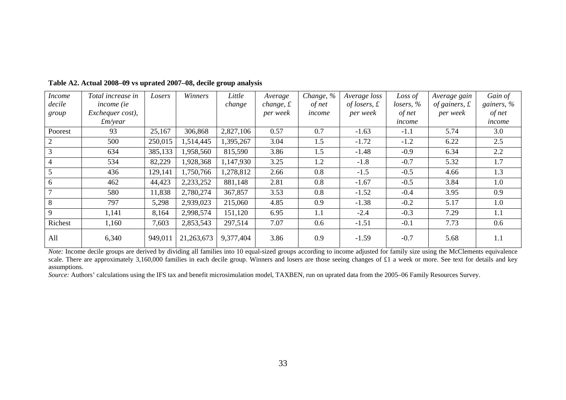| <b>Income</b>  | Total increase in         | Losers  | Winners    | Little    | Average           | Change, % | Average loss         | Loss of    | Average gain          | Gain of       |
|----------------|---------------------------|---------|------------|-----------|-------------------|-----------|----------------------|------------|-----------------------|---------------|
| decile         | <i>income</i> ( <i>ie</i> |         |            | change    | change, $\pounds$ | of net    | of losers, $\pounds$ | lossers, % | of gainers, $\pounds$ | gainers, $\%$ |
| group          | Exchequer cost),          |         |            |           | per week          | income    | per week             | of net     | per week              | of net        |
|                | $\pounds$ <i>m</i> /year  |         |            |           |                   |           |                      | income     |                       | income        |
| Poorest        | 93                        | 25,167  | 306,868    | 2,827,106 | 0.57              | 0.7       | $-1.63$              | $-1.1$     | 5.74                  | 3.0           |
| 2              | 500                       | 250,015 | 1,514,445  | 1,395,267 | 3.04              | 1.5       | $-1.72$              | $-1.2$     | 6.22                  | 2.5           |
|                | 634                       | 385,133 | 1,958,560  | 815,590   | 3.86              | 1.5       | $-1.48$              | $-0.9$     | 6.34                  | 2.2           |
| $\overline{4}$ | 534                       | 82,229  | 1,928,368  | 1,147,930 | 3.25              | 1.2       | $-1.8$               | $-0.7$     | 5.32                  | 1.7           |
| 5              | 436                       | 129,141 | 1,750,766  | 1,278,812 | 2.66              | 0.8       | $-1.5$               | $-0.5$     | 4.66                  | 1.3           |
| 6              | 462                       | 44,423  | 2,233,252  | 881,148   | 2.81              | 0.8       | $-1.67$              | $-0.5$     | 3.84                  | 1.0           |
| $\overline{7}$ | 580                       | 11,838  | 2,780,274  | 367,857   | 3.53              | 0.8       | $-1.52$              | $-0.4$     | 3.95                  | 0.9           |
| 8              | 797                       | 5,298   | 2,939,023  | 215,060   | 4.85              | 0.9       | $-1.38$              | $-0.2$     | 5.17                  | 1.0           |
| $\mathbf{Q}$   | 1,141                     | 8,164   | 2,998,574  | 151,120   | 6.95              | 1.1       | $-2.4$               | $-0.3$     | 7.29                  | 1.1           |
| Richest        | 1,160                     | 7,603   | 2,853,543  | 297,514   | 7.07              | 0.6       | $-1.51$              | $-0.1$     | 7.73                  | 0.6           |
| All            | 6,340                     | 949,011 | 21,263,673 | 9,377,404 | 3.86              | 0.9       | $-1.59$              | $-0.7$     | 5.68                  | 1.1           |

**Table A2. Actual 2008–09 vs uprated 2007–08, decile group analysis** 

*Note:* Income decile groups are derived by dividing all families into 10 equal-sized groups according to income adjusted for family size using the McClements equivalence scale. There are approximately 3,160,000 families in each decile group. Winners and losers are those seeing changes of £1 a week or more. See text for details and key assumptions.

*Source:* Authors' calculations using the IFS tax and benefit microsimulation model, TAXBEN, run on uprated data from the 2005–06 Family Resources Survey.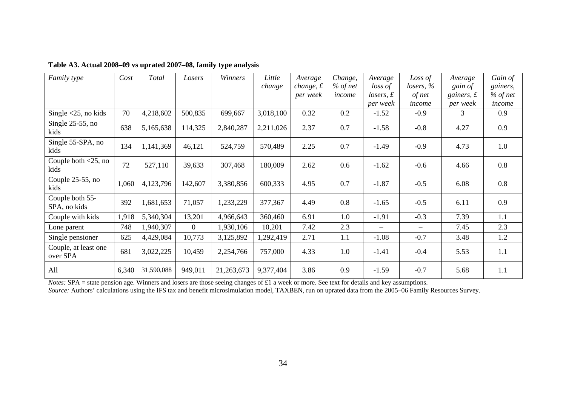| Family type                                 | Cost  | Total      | Losers         | Winners    | Little    | Average     | Change,    | Average           | Loss of   | Average            | Gain of    |
|---------------------------------------------|-------|------------|----------------|------------|-----------|-------------|------------|-------------------|-----------|--------------------|------------|
|                                             |       |            |                |            | change    | change, $f$ | $%$ of net | loss of           | losers, % | gain of            | gainers,   |
|                                             |       |            |                |            |           | per week    | income     | $losers, \pounds$ | of net    | gainers, $\pounds$ | $%$ of net |
|                                             |       |            |                |            |           |             |            | per week          | income    | per week           | income     |
| Single $\langle 25, \text{no kids} \rangle$ | 70    | 4,218,602  | 500,835        | 699,667    | 3,018,100 | 0.32        | 0.2        | $-1.52$           | $-0.9$    | 3                  | 0.9        |
| Single $25-55$ , no<br>kids                 | 638   | 5,165,638  | 114,325        | 2,840,287  | 2,211,026 | 2.37        | 0.7        | $-1.58$           | $-0.8$    | 4.27               | 0.9        |
| Single 55-SPA, no<br>kids                   | 134   | 1,141,369  | 46,121         | 524,759    | 570,489   | 2.25        | 0.7        | $-1.49$           | $-0.9$    | 4.73               | 1.0        |
| Couple both $\leq$ 25, no<br>kids           | 72    | 527,110    | 39,633         | 307,468    | 180,009   | 2.62        | 0.6        | $-1.62$           | $-0.6$    | 4.66               | 0.8        |
| Couple 25-55, no<br>kids                    | 1,060 | 4,123,796  | 142,607        | 3,380,856  | 600,333   | 4.95        | 0.7        | $-1.87$           | $-0.5$    | 6.08               | 0.8        |
| Couple both 55-<br>SPA, no kids             | 392   | 1,681,653  | 71,057         | 1,233,229  | 377,367   | 4.49        | 0.8        | $-1.65$           | $-0.5$    | 6.11               | 0.9        |
| Couple with kids                            | 1,918 | 5,340,304  | 13,201         | 4,966,643  | 360,460   | 6.91        | 1.0        | $-1.91$           | $-0.3$    | 7.39               | 1.1        |
| Lone parent                                 | 748   | 1,940,307  | $\overline{0}$ | 1,930,106  | 10,201    | 7.42        | 2.3        |                   |           | 7.45               | 2.3        |
| Single pensioner                            | 625   | 4,429,084  | 10,773         | 3,125,892  | 1,292,419 | 2.71        | 1.1        | $-1.08$           | $-0.7$    | 3.48               | 1.2        |
| Couple, at least one<br>over SPA            | 681   | 3,022,225  | 10,459         | 2,254,766  | 757,000   | 4.33        | 1.0        | $-1.41$           | $-0.4$    | 5.53               | 1.1        |
| All                                         | 6,340 | 31,590,088 | 949,011        | 21,263,673 | 9,377,404 | 3.86        | 0.9        | $-1.59$           | $-0.7$    | 5.68               | 1.1        |

#### **Table A3. Actual 2008–09 vs uprated 2007–08, family type analysis**

*Notes:* SPA = state pension age. Winners and losers are those seeing changes of £1 a week or more. See text for details and key assumptions. *Source:* Authors' calculations using the IFS tax and benefit microsimulation model, TAXBEN, run on uprated data from the 2005–06 Family Resources Survey.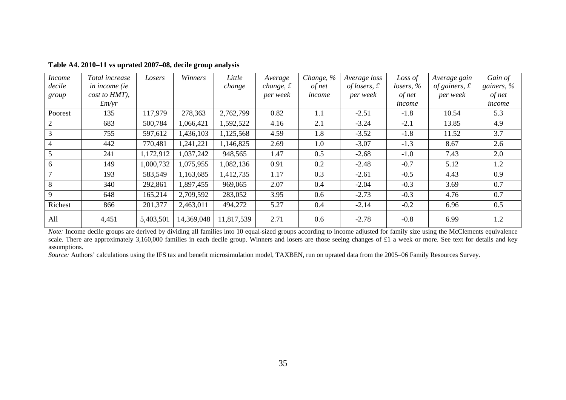| <i>Income</i> | Total increase         | Losers    | Winners    | Little     | Average           | Change, % | Average loss         | Loss of      | Average gain          | Gain of       |
|---------------|------------------------|-----------|------------|------------|-------------------|-----------|----------------------|--------------|-----------------------|---------------|
| decile        | in income (ie          |           |            | change     | change, $\pounds$ | of net    | of losers, $\pounds$ | losers, $\%$ | of gainers, $\pounds$ | gainers, $\%$ |
| group         | cost to HMT),          |           |            |            | per week          | income    | per week             | of net       | per week              | of net        |
|               | $\pounds$ <i>m</i> /yr |           |            |            |                   |           |                      | income       |                       | income        |
| Poorest       | 135                    | 117,979   | 278,363    | 2,762,799  | 0.82              | 1.1       | $-2.51$              | $-1.8$       | 10.54                 | 5.3           |
|               | 683                    | 500,784   | 1,066,421  | 1,592,522  | 4.16              | 2.1       | $-3.24$              | $-2.1$       | 13.85                 | 4.9           |
|               | 755                    | 597,612   | 1,436,103  | 1,125,568  | 4.59              | 1.8       | $-3.52$              | $-1.8$       | 11.52                 | 3.7           |
| 4             | 442                    | 770,481   | 1,241,221  | 1,146,825  | 2.69              | 1.0       | $-3.07$              | $-1.3$       | 8.67                  | 2.6           |
|               | 241                    | 1,172,912 | 1,037,242  | 948,565    | 1.47              | 0.5       | $-2.68$              | $-1.0$       | 7.43                  | 2.0           |
| 6             | 149                    | 1,000,732 | 1,075,955  | 1,082,136  | 0.91              | 0.2       | $-2.48$              | $-0.7$       | 5.12                  | 1.2           |
|               | 193                    | 583,549   | 1,163,685  | 1,412,735  | 1.17              | 0.3       | $-2.61$              | $-0.5$       | 4.43                  | 0.9           |
| 8             | 340                    | 292,861   | 1,897,455  | 969,065    | 2.07              | 0.4       | $-2.04$              | $-0.3$       | 3.69                  | 0.7           |
| 9             | 648                    | 165,214   | 2,709,592  | 283,052    | 3.95              | 0.6       | $-2.73$              | $-0.3$       | 4.76                  | 0.7           |
| Richest       | 866                    | 201,377   | 2,463,011  | 494,272    | 5.27              | 0.4       | $-2.14$              | $-0.2$       | 6.96                  | 0.5           |
| All           | 4,451                  | 5,403,501 | 14,369,048 | 11,817,539 | 2.71              | 0.6       | $-2.78$              | $-0.8$       | 6.99                  | 1.2           |

**Table A4. 2010–11 vs uprated 2007–08, decile group analysis**

*Note:* Income decile groups are derived by dividing all families into 10 equal-sized groups according to income adjusted for family size using the McClements equivalence scale. There are approximately 3,160,000 families in each decile group. Winners and losers are those seeing changes of £1 a week or more. See text for details and key assumptions.

*Source:* Authors' calculations using the IFS tax and benefit microsimulation model, TAXBEN, run on uprated data from the 2005–06 Family Resources Survey.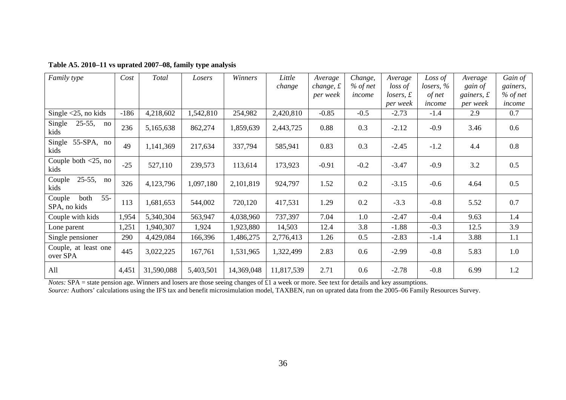| Family type                                         | Cost   | Total      | Losers    | Winners    | Little     | Average   | Change,    | Average               | Loss of    | Average            | Gain of    |
|-----------------------------------------------------|--------|------------|-----------|------------|------------|-----------|------------|-----------------------|------------|--------------------|------------|
|                                                     |        |            |           |            | change     | change, f | $%$ of net | loss of               | lossers, % | gain of            | gainers,   |
|                                                     |        |            |           |            |            | per week  | income     | $losers, \mathcal{L}$ | of net     | gainers, $\pounds$ | $%$ of net |
|                                                     |        |            |           |            |            |           |            | per week              | income     | per week           | income     |
| Single $<$ 25, no kids                              | $-186$ | 4,218,602  | 1,542,810 | 254,982    | 2,420,810  | $-0.85$   | $-0.5$     | $-2.73$               | $-1.4$     | 2.9                | 0.7        |
| Single<br>$25-55,$<br>no<br>kids                    | 236    | 5,165,638  | 862,274   | 1,859,639  | 2,443,725  | 0.88      | 0.3        | $-2.12$               | $-0.9$     | 3.46               | 0.6        |
| Single<br>$55-SPA$ , no<br>kids                     | 49     | 1,141,369  | 217,634   | 337,794    | 585,941    | 0.83      | 0.3        | $-2.45$               | $-1.2$     | 4.4                | 0.8        |
| Couple both $\langle 25, \text{no} \rangle$<br>kids | $-25$  | 527,110    | 239,573   | 113,614    | 173,923    | $-0.91$   | $-0.2$     | $-3.47$               | $-0.9$     | 3.2                | 0.5        |
| $25-55,$<br>Couple<br>$\mathbf{n}$<br>kids          | 326    | 4,123,796  | 1,097,180 | 2,101,819  | 924,797    | 1.52      | 0.2        | $-3.15$               | $-0.6$     | 4.64               | 0.5        |
| $55 -$<br>Couple<br>both<br>SPA, no kids            | 113    | 1,681,653  | 544,002   | 720,120    | 417,531    | 1.29      | 0.2        | $-3.3$                | $-0.8$     | 5.52               | 0.7        |
| Couple with kids                                    | 1,954  | 5,340,304  | 563,947   | 4,038,960  | 737,397    | 7.04      | 1.0        | $-2.47$               | $-0.4$     | 9.63               | 1.4        |
| Lone parent                                         | 1,251  | 1,940,307  | 1,924     | 1,923,880  | 14,503     | 12.4      | 3.8        | $-1.88$               | $-0.3$     | 12.5               | 3.9        |
| Single pensioner                                    | 290    | 4,429,084  | 166,396   | 1,486,275  | 2,776,413  | 1.26      | 0.5        | $-2.83$               | $-1.4$     | 3.88               | 1.1        |
| Couple, at least one<br>over SPA                    | 445    | 3,022,225  | 167,761   | 1,531,965  | 1,322,499  | 2.83      | 0.6        | $-2.99$               | $-0.8$     | 5.83               | 1.0        |
| All                                                 | 4,451  | 31,590,088 | 5,403,501 | 14,369,048 | 11,817,539 | 2.71      | 0.6        | $-2.78$               | $-0.8$     | 6.99               | 1.2        |

| Table A5. 2010–11 vs uprated 2007–08, family type analysis |  |  |
|------------------------------------------------------------|--|--|
|------------------------------------------------------------|--|--|

*Notes:* SPA = state pension age. Winners and losers are those seeing changes of £1 a week or more. See text for details and key assumptions. *Source:* Authors' calculations using the IFS tax and benefit microsimulation model, TAXBEN, run on uprated data from the 2005–06 Family Resources Survey.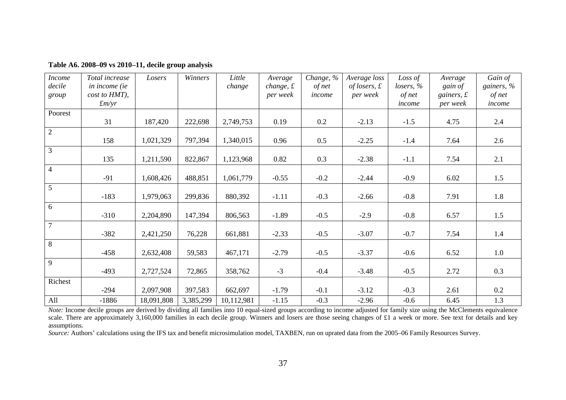| <b>Income</b><br>decile<br>group | Total increase<br>in income (ie<br>cost to HMT),<br>$\pounds$ <i>m/yr</i> | Losers     | Winners   | Little<br>change | Average<br>change, $f$<br>per week | Change, %<br>of net<br>income | Average loss<br>of losers, $\pounds$<br>per week | Loss of<br>lossers, %<br>of net<br>income | Average<br>gain of<br>gainers, $\pounds$<br>per week | Gain of<br>gainers, $\%$<br>of net<br>income |
|----------------------------------|---------------------------------------------------------------------------|------------|-----------|------------------|------------------------------------|-------------------------------|--------------------------------------------------|-------------------------------------------|------------------------------------------------------|----------------------------------------------|
| Poorest                          | 31                                                                        | 187,420    | 222,698   | 2,749,753        | 0.19                               | $0.2\,$                       | $-2.13$                                          | $-1.5$                                    | 4.75                                                 | 2.4                                          |
| $\overline{2}$                   | 158                                                                       | 1,021,329  | 797,394   | 1,340,015        | 0.96                               | 0.5                           | $-2.25$                                          | $-1.4$                                    | 7.64                                                 | 2.6                                          |
| $\overline{3}$                   | 135                                                                       | 1,211,590  | 822,867   | 1,123,968        | 0.82                               | 0.3                           | $-2.38$                                          | $-1.1$                                    | 7.54                                                 | 2.1                                          |
| $\overline{4}$                   | $-91$                                                                     | 1,608,426  | 488,851   | 1,061,779        | $-0.55$                            | $-0.2$                        | $-2.44$                                          | $-0.9$                                    | 6.02                                                 | 1.5                                          |
| $\overline{5}$                   | $-183$                                                                    | 1,979,063  | 299,836   | 880,392          | $-1.11$                            | $-0.3$                        | $-2.66$                                          | $-0.8$                                    | 7.91                                                 | 1.8                                          |
| 6                                | $-310$                                                                    | 2,204,890  | 147,394   | 806,563          | $-1.89$                            | $-0.5$                        | $-2.9$                                           | $-0.8$                                    | 6.57                                                 | 1.5                                          |
| $\overline{7}$                   | $-382$                                                                    | 2,421,250  | 76,228    | 661,881          | $-2.33$                            | $-0.5$                        | $-3.07$                                          | $-0.7$                                    | 7.54                                                 | 1.4                                          |
| 8                                | $-458$                                                                    | 2,632,408  | 59,583    | 467,171          | $-2.79$                            | $-0.5$                        | $-3.37$                                          | $-0.6$                                    | 6.52                                                 | 1.0                                          |
| 9                                | $-493$                                                                    | 2,727,524  | 72,865    | 358,762          | $-3$                               | $-0.4$                        | $-3.48$                                          | $-0.5$                                    | 2.72                                                 | 0.3                                          |
| Richest                          | $-294$                                                                    | 2,097,908  | 397,583   | 662,697          | $-1.79$                            | $-0.1$                        | $-3.12$                                          | $-0.3$                                    | 2.61                                                 | 0.2                                          |
| All                              | $-1886$                                                                   | 18,091,808 | 3,385,299 | 10,112,981       | $-1.15$                            | $-0.3$                        | $-2.96$                                          | $-0.6$                                    | 6.45                                                 | 1.3                                          |

**Table A6. 2008–09 vs 2010–11, decile group analysis**

*Note:* Income decile groups are derived by dividing all families into 10 equal-sized groups according to income adjusted for family size using the McClements equivalence scale. There are approximately 3,160,000 families in each decile group. Winners and losers are those seeing changes of £1 a week or more. See text for details and key assumptions.

*Source:* Authors' calculations using the IFS tax and benefit microsimulation model, TAXBEN, run on uprated data from the 2005–06 Family Resources Survey.